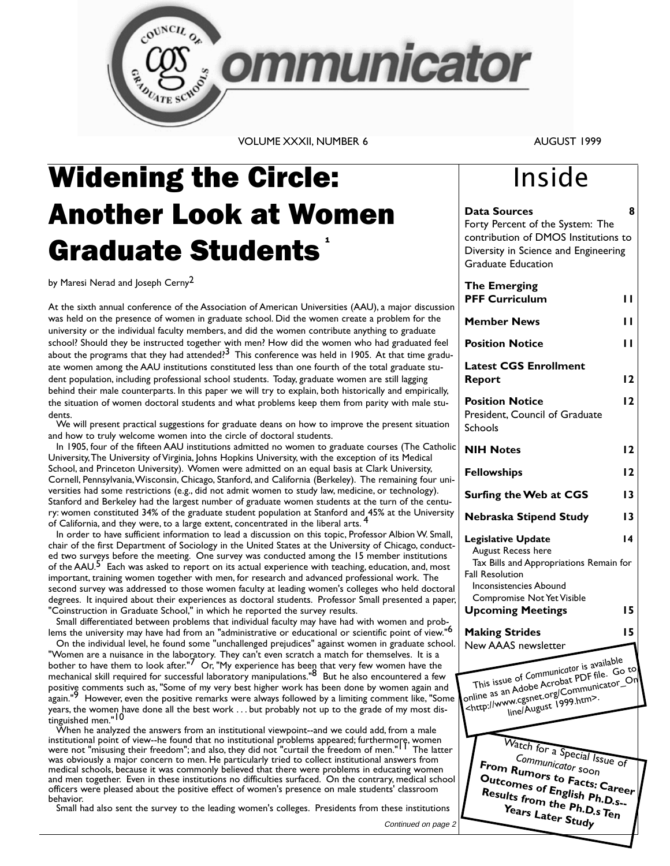

**VOLUME XXXII. NUMBER 6** 

### AUGUST 1999

8

Inside

Forty Percent of the System: The contribution of DMOS Institutions to

**Data Sources** 

# **Widening the Circle: Another Look at Women Graduate Students**

by Maresi Nerad and Joseph Cerny<sup>2</sup>

At the sixth annual conference of the Association of American Universities (AAU), a major discussion was held on the presence of women in graduate school. Did the women create a problem for the university or the individual faculty members, and did the women contribute anything to graduate school? Should they be instructed together with men? How did the women who had graduated feel about the programs that they had attended? $3$  This conference was held in 1905. At that time graduate women among the AAU institutions constituted less than one fourth of the total graduate student population, including professional school students. Today, graduate women are still lagging behind their male counterparts. In this paper we will try to explain, both historically and empirically, the situation of women doctoral students and what problems keep them from parity with male students.

We will present practical suggestions for graduate deans on how to improve the present situation and how to truly welcome women into the circle of doctoral students.

In 1905, four of the fifteen AAU institutions admitted no women to graduate courses (The Catholic University, The University of Virginia, Johns Hopkins University, with the exception of its Medical School, and Princeton University). Women were admitted on an equal basis at Clark University, Cornell, Pennsylvania, Wisconsin, Chicago, Stanford, and California (Berkeley). The remaining four universities had some restrictions (e.g., did not admit women to study law, medicine, or technology). Stanford and Berkeley had the largest number of graduate women students at the turn of the century: women constituted 34% of the graduate student population at Stanford and 45% at the University of California, and they were, to a large extent, concentrated in the liberal arts. <sup>4</sup>

In order to have sufficient information to lead a discussion on this topic, Professor Albion W. Small, chair of the first Department of Sociology in the United States at the University of Chicago, conducted two surveys before the meeting. One survey was conducted among the 15 member institutions of the AAU.<sup>5</sup> Each was asked to report on its actual experience with teaching, education, and, most important, training women together with men, for research and advanced professional work. The second survey was addressed to those women faculty at leading women's colleges who held doctoral degrees. It inquired about their experiences as doctoral students. Professor Small presented a paper, "Coinstruction in Graduate School," in which he reported the survey results.

Small differentiated between problems that individual faculty may have had with women and problems the university may have had from an "administrative or educational or scientific point of view."<sup>6</sup>

On the individual level, he found some "unchallenged prejudices" against women in graduate school. "Women are a nuisance in the laboratory. They can't even scratch a match for themselves. It is a bother to have them to look after."<sup>7</sup> Or, "My experience has been that very few women have the<br>mechanical skill required for successful laboratory manipulations."<sup>8</sup> But he also encountered a few positive comments such as, "Some of my very best higher work has been done by women again and again."<sup>9</sup> However, even the positive remarks were always followed by a limiting comment like, "Some years, the women have done all the best work ... but probably not up to the grade of my most distinguished men."<sup>10</sup>

When he analyzed the answers from an institutional viewpoint--and we could add, from a male institutional point of view--he found that no institutional problems appeared; furthermore, women<br>were not "misusing their freedom"; and also, they did not "curtail the freedom of men." I The latter was obviously a major concern to men. He particularly tried to collect institutional answers from medical schools, because it was commonly believed that there were problems in educating women and men together. Even in these institutions no difficulties surfaced. On the contrary, medical school officers were pleased about the positive effect of women's presence on male students' classroom behavior.

Small had also sent the survey to the leading women's colleges. Presidents from these institutions

Continued on page 2

| Diversity in Science and Engineering<br><b>Graduate Education</b>                                                                                                                                        |                 |
|----------------------------------------------------------------------------------------------------------------------------------------------------------------------------------------------------------|-----------------|
| <b>The Emerging</b><br><b>PFF Curriculum</b>                                                                                                                                                             | ' '             |
| <b>Member News</b>                                                                                                                                                                                       | ''              |
| <b>Position Notice</b>                                                                                                                                                                                   | ' '             |
| <b>Latest CGS Enrollment</b><br>Report                                                                                                                                                                   | 12              |
| <b>Position Notice</b><br>President, Council of Graduate<br>Schools                                                                                                                                      | 12              |
| <b>NIH Notes</b>                                                                                                                                                                                         | 12              |
| <b>Fellowships</b>                                                                                                                                                                                       | 12              |
| Surfing the Web at CGS                                                                                                                                                                                   | $\overline{13}$ |
| Nebraska Stipend Study                                                                                                                                                                                   | 13              |
| <b>Legislative Update</b><br>August Recess here<br>Tax Bills and Appropriations Remain for<br><b>Fall Resolution</b><br>Inconsistencies Abound<br>Compromise Not Yet Visible<br><b>Upcoming Meetings</b> | 14<br>15        |
| <b>Making Strides</b><br>New AAAS newsletter                                                                                                                                                             | 15              |
| This issue of Communicator is available<br>online as an Adobe Acrobat PDF file. Go to<br><http: communicator_on<br="" www.cgsnet.org="">line/August 1999.htm&gt;.</http:>                                |                 |
| Watch for a Special Issue of                                                                                                                                                                             |                 |
| Communicator soon<br>From Rumors to Facts: Career<br>Outcomes of English Ph.D.s--<br>Results from the Ph.D.s Ten<br>Y <sub>ears</sub> L <sub>ater</sub> Study                                            |                 |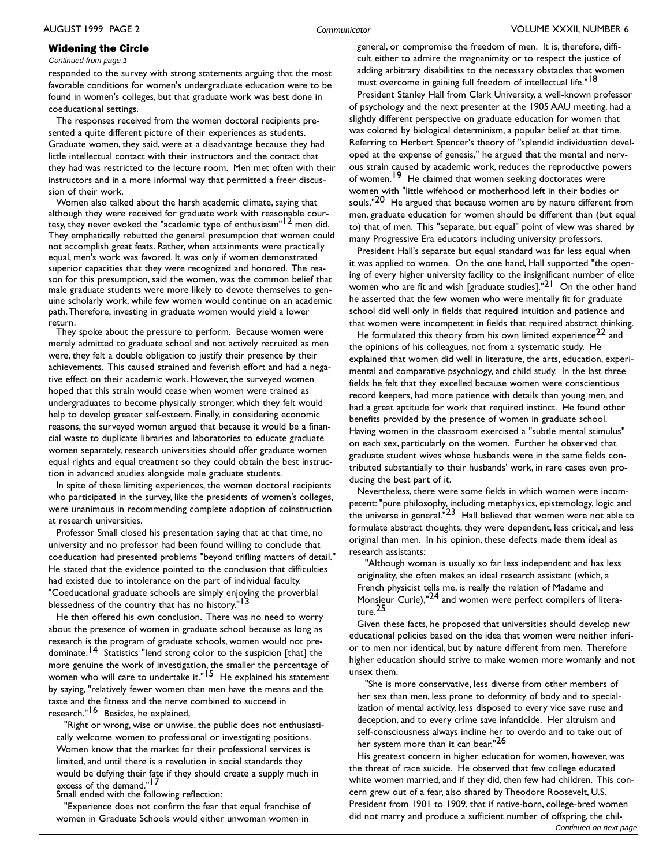Continued from page 1

responded to the survey with strong statements arguing that the most favorable conditions for women's undergraduate education were to be found in women's colleges, but that graduate work was best done in coeducational settings.

The responses received from the women doctoral recipients presented a quite different picture of their experiences as students. Graduate women, they said, were at a disadvantage because they had little intellectual contact with their instructors and the contact that they had was restricted to the lecture room. Men met often with their instructors and in a more informal way that permitted a freer discussion of their work.

Women also talked about the harsh academic climate, saying that although they were received for graduate work with reasonable courtesy, they never evoked the "academic type of enthusiasm"<sup>12</sup> men did. They emphatically rebutted the general presumption that women could not accomplish great feats. Rather, when attainments were practically equal, men's work was favored. It was only if women demonstrated superior capacities that they were recognized and honored. The reason for this presumption, said the women, was the common belief that male graduate students were more likely to devote themselves to genuine scholarly work, while few women would continue on an academic path. Therefore, investing in graduate women would yield a lower return.

They spoke about the pressure to perform. Because women were merely admitted to graduate school and not actively recruited as men were, they felt a double obligation to justify their presence by their achievements. This caused strained and feverish effort and had a negative effect on their academic work. However, the surveyed women hoped that this strain would cease when women were trained as undergraduates to become physically stronger, which they felt would help to develop greater self-esteem. Finally, in considering economic reasons, the surveyed women argued that because it would be a financial waste to duplicate libraries and laboratories to educate graduate women separately, research universities should offer graduate women equal rights and equal treatment so they could obtain the best instruction in advanced studies alongside male graduate students.

In spite of these limiting experiences, the women doctoral recipients who participated in the survey, like the presidents of women's colleges, were unanimous in recommending complete adoption of coinstruction at research universities.

Professor Small closed his presentation saying that at that time, no university and no professor had been found willing to conclude that coeducation had presented problems "beyond trifling matters of detail." He stated that the evidence pointed to the conclusion that difficulties had existed due to intolerance on the part of individual faculty. "Coeducational graduate schools are simply enjoying the proverbial blessedness of the country that has no history."<sup>13</sup>

He then offered his own conclusion. There was no need to worry about the presence of women in graduate school because as long as research is the program of graduate schools, women would not predominate.<sup>14</sup> Statistics "lend strong color to the suspicion [that] the more genuine the work of investigation, the smaller the percentage of women who will care to undertake it."<sup>15</sup> He explained his statement by saying, "relatively fewer women than men have the means and the taste and the fitness and the nerve combined to succeed in research."<sup>16</sup> Besides, he explained,

"Right or wrong, wise or unwise, the public does not enthusiastically welcome women to professional or investigating positions. Women know that the market for their professional services is limited, and until there is a revolution in social standards they would be defying their fate if they should create a supply much in excess of the demand."17

Small ended with the following reflection:

"Experience does not confirm the fear that equal franchise of women in Graduate Schools would either unwoman women in

general, or compromise the freedom of men. It is, therefore, difficult either to admire the magnanimity or to respect the justice of adding arbitrary disabilities to the necessary obstacles that women must overcome in gaining full freedom of intellectual life."<sup>18</sup>

President Stanley Hall from Clark University, a well-known professor of psychology and the next presenter at the 1905 AAU meeting, had a slightly different perspective on graduate education for women that was colored by biological determinism, a popular belief at that time. Referring to Herbert Spencer's theory of "splendid individuation developed at the expense of genesis," he argued that the mental and nervous strain caused by academic work, reduces the reproductive powers of women.<sup>19</sup> He claimed that women seeking doctorates were women with "little wifehood or motherhood left in their bodies or souls."<sup>20</sup> He argued that because women are by nature different from men, graduate education for women should be different than (but equal to) that of men. This "separate, but equal" point of view was shared by many Progressive Era educators including university professors.

President Hall's separate but equal standard was far less equal when it was applied to women. On the one hand, Hall supported "the opening of every higher university facility to the insignificant number of elite women who are fit and wish [graduate studies]."<sup>21</sup> On the other hand he asserted that the few women who were mentally fit for graduate school did well only in fields that required intuition and patience and that women were incompetent in fields that required abstract thinking.

He formulated this theory from his own limited experience<sup>22</sup> and the opinions of his colleagues, not from a systematic study. He explained that women did well in literature, the arts, education, experimental and comparative psychology, and child study. In the last three fields he felt that they excelled because women were conscientious record keepers, had more patience with details than young men, and had a great aptitude for work that required instinct. He found other benefits provided by the presence of women in graduate school. Having women in the classroom exercised a "subtle mental stimulus" on each sex, particularly on the women. Further he observed that graduate student wives whose husbands were in the same fields contributed substantially to their husbands' work, in rare cases even producing the best part of it.

Nevertheless, there were some fields in which women were incompetent: "pure philosophy, including metaphysics, epistemology, logic and the universe in general.<sup>"23</sup> Hall believed that women were not able to formulate abstract thoughts, they were dependent, less critical, and less original than men. In his opinion, these defects made them ideal as research assistants:

"Although woman is usually so far less independent and has less originality, she often makes an ideal research assistant (which, a French physicist tells me, is really the relation of Madame and Monsieur Curie),"24 and women were perfect compilers of litera $ture<sup>25</sup>$ 

Given these facts, he proposed that universities should develop new educational policies based on the idea that women were neither inferior to men nor identical, but by nature different from men. Therefore higher education should strive to make women more womanly and not unsex them.

"She is more conservative, less diverse from other members of her sex than men, less prone to deformity of body and to specialization of mental activity, less disposed to every vice save ruse and deception, and to every crime save infanticide. Her altruism and self-consciousness always incline her to overdo and to take out of her system more than it can bear."26

His greatest concern in higher education for women, however, was the threat of race suicide. He observed that few college educated white women married, and if they did, then few had children. This concern grew out of a fear, also shared by Theodore Roosevelt, U.S. President from 1901 to 1909, that if native-born, college-bred women did not marry and produce a sufficient number of offspring, the chil-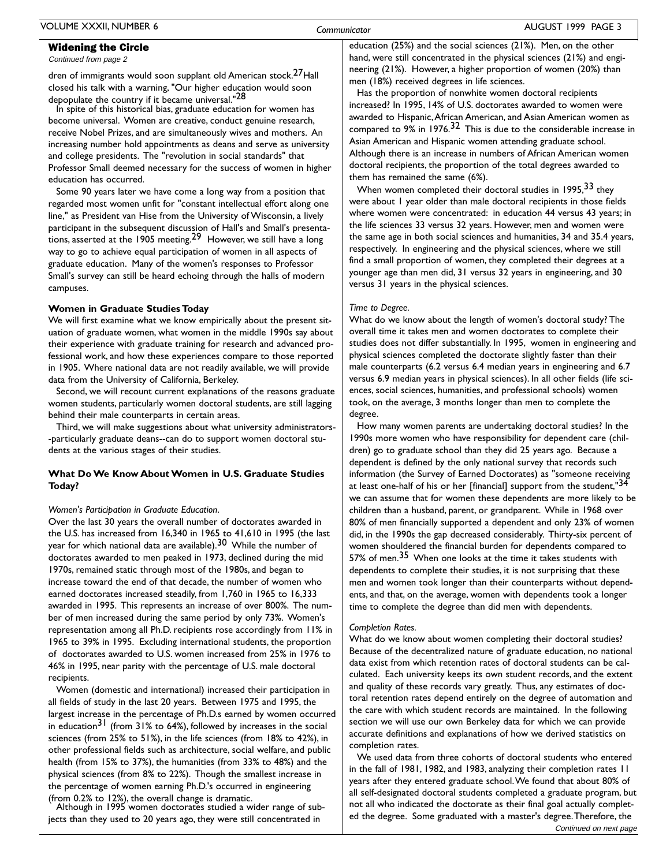Continued from page 2

dren of immigrants would soon supplant old American stock.<sup>27</sup>Hall closed his talk with a warning, "Our higher education would soon depopulate the country if it became universal."28

In spite of this historical bias, graduate education for women has become universal. Women are creative, conduct genuine research, receive Nobel Prizes, and are simultaneously wives and mothers. An increasing number hold appointments as deans and serve as university and college presidents. The "revolution in social standards" that Professor Small deemed necessary for the success of women in higher education has occurred.

Some 90 years later we have come a long way from a position that regarded most women unfit for "constant intellectual effort along one line," as President van Hise from the University of Wisconsin, a lively participant in the subsequent discussion of Hall's and Small's presentations, asserted at the 1905 meeting.<sup>29</sup> However, we still have a long way to go to achieve equal participation of women in all aspects of graduate education. Many of the women's responses to Professor Small's survey can still be heard echoing through the halls of modern campuses.

#### Women in Graduate Studies Today

We will first examine what we know empirically about the present situation of graduate women, what women in the middle 1990s say about their experience with graduate training for research and advanced professional work, and how these experiences compare to those reported in 1905. Where national data are not readily available, we will provide data from the University of California, Berkeley.

Second, we will recount current explanations of the reasons graduate women students, particularly women doctoral students, are still lagging behind their male counterparts in certain areas.

Third, we will make suggestions about what university administrators--particularly graduate deans--can do to support women doctoral students at the various stages of their studies.

### What Do We Know About Women in U.S. Graduate Studies Today?

### Women's Participation in Graduate Education.

Over the last 30 years the overall number of doctorates awarded in the U.S. has increased from 16,340 in 1965 to 41,610 in 1995 (the last year for which national data are available).<sup>30</sup> While the number of doctorates awarded to men peaked in 1973, declined during the mid 1970s, remained static through most of the 1980s, and began to increase toward the end of that decade, the number of women who earned doctorates increased steadily, from 1,760 in 1965 to 16,333 awarded in 1995. This represents an increase of over 800%. The number of men increased during the same period by only 73%. Women's representation among all Ph.D. recipients rose accordingly from 11% in 1965 to 39% in 1995. Excluding international students, the proportion of doctorates awarded to U.S. women increased from 25% in 1976 to 46% in 1995, near parity with the percentage of U.S. male doctoral recipients.

Women (domestic and international) increased their participation in all fields of study in the last 20 years. Between 1975 and 1995, the largest increase in the percentage of Ph.D.s earned by women occurred in education<sup>31</sup> (from 31% to 64%), followed by increases in the social sciences (from 25% to 51%), in the life sciences (from 18% to 42%), in other professional fields such as architecture, social welfare, and public health (from 15% to 37%), the humanities (from 33% to 48%) and the physical sciences (from 8% to 22%). Though the smallest increase in the percentage of women earning Ph.D.'s occurred in engineering (from 0.2% to 12%), the overall change is dramatic.

Although in 1995 women doctorates studied a wider range of subjects than they used to 20 years ago, they were still concentrated in

education (25%) and the social sciences (21%). Men, on the other hand, were still concentrated in the physical sciences (21%) and engineering (21%). However, a higher proportion of women (20%) than men (18%) received degrees in life sciences.

Has the proportion of nonwhite women doctoral recipients increased? In 1995, 14% of U.S. doctorates awarded to women were awarded to Hispanic, African American, and Asian American women as compared to  $9\%$  in 1976.<sup>32</sup> This is due to the considerable increase in Asian American and Hispanic women attending graduate school. Although there is an increase in numbers of African American women doctoral recipients, the proportion of the total degrees awarded to them has remained the same (6%).

When women completed their doctoral studies in 1995, 33 they were about I year older than male doctoral recipients in those fields where women were concentrated: in education 44 versus 43 years; in the life sciences 33 versus 32 years. However, men and women were the same age in both social sciences and humanities, 34 and 35.4 years, respectively. In engineering and the physical sciences, where we still find a small proportion of women, they completed their degrees at a younger age than men did, 31 versus 32 years in engineering, and 30 versus 31 years in the physical sciences.

#### Time to Degree.

What do we know about the length of women's doctoral study? The overall time it takes men and women doctorates to complete their studies does not differ substantially. In 1995, women in engineering and physical sciences completed the doctorate slightly faster than their male counterparts (6.2 versus 6.4 median years in engineering and 6.7 versus 6.9 median years in physical sciences). In all other fields (life sciences, social sciences, humanities, and professional schools) women took, on the average, 3 months longer than men to complete the degree.

How many women parents are undertaking doctoral studies? In the 1990s more women who have responsibility for dependent care (children) go to graduate school than they did 25 years ago. Because a dependent is defined by the only national survey that records such information (the Survey of Earned Doctorates) as "someone receiving at least one-half of his or her [financial] support from the student,"34 we can assume that for women these dependents are more likely to be children than a husband, parent, or grandparent. While in 1968 over 80% of men financially supported a dependent and only 23% of women did, in the 1990s the gap decreased considerably. Thirty-six percent of women shouldered the financial burden for dependents compared to 57% of men.<sup>35</sup> When one looks at the time it takes students with dependents to complete their studies, it is not surprising that these men and women took longer than their counterparts without dependents, and that, on the average, women with dependents took a longer time to complete the degree than did men with dependents.

### Completion Rates.

What do we know about women completing their doctoral studies? Because of the decentralized nature of graduate education, no national data exist from which retention rates of doctoral students can be calculated. Each university keeps its own student records, and the extent and quality of these records vary greatly. Thus, any estimates of doctoral retention rates depend entirely on the degree of automation and the care with which student records are maintained. In the following section we will use our own Berkeley data for which we can provide accurate definitions and explanations of how we derived statistics on completion rates.

We used data from three cohorts of doctoral students who entered in the fall of 1981, 1982, and 1983, analyzing their completion rates 11 years after they entered graduate school. We found that about 80% of all self-designated doctoral students completed a graduate program, but not all who indicated the doctorate as their final goal actually completed the degree. Some graduated with a master's degree. Therefore, the Continued on next page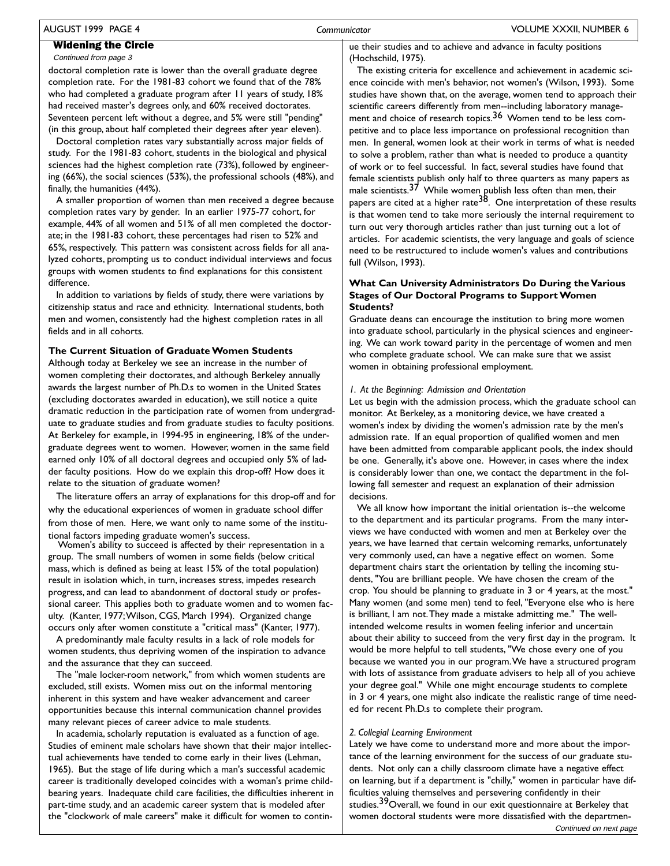### AUGUST 1999 PAGE 4

### **Widening the Circle**

Continued from page 3

doctoral completion rate is lower than the overall graduate degree completion rate. For the 1981-83 cohort we found that of the 78% who had completed a graduate program after 11 years of study, 18% had received master's degrees only, and 60% received doctorates. Seventeen percent left without a degree, and 5% were still "pending" (in this group, about half completed their degrees after year eleven).

Doctoral completion rates vary substantially across major fields of study. For the 1981-83 cohort, students in the biological and physical sciences had the highest completion rate (73%), followed by engineering (66%), the social sciences (53%), the professional schools (48%), and finally, the humanities (44%).

A smaller proportion of women than men received a degree because completion rates vary by gender. In an earlier 1975-77 cohort, for example, 44% of all women and 51% of all men completed the doctorate; in the 1981-83 cohort, these percentages had risen to 52% and 65%, respectively. This pattern was consistent across fields for all analyzed cohorts, prompting us to conduct individual interviews and focus groups with women students to find explanations for this consistent difference.

In addition to variations by fields of study, there were variations by citizenship status and race and ethnicity. International students, both men and women, consistently had the highest completion rates in all fields and in all cohorts.

### The Current Situation of Graduate Women Students

Although today at Berkeley we see an increase in the number of women completing their doctorates, and although Berkeley annually awards the largest number of Ph.D.s to women in the United States (excluding doctorates awarded in education), we still notice a quite dramatic reduction in the participation rate of women from undergraduate to graduate studies and from graduate studies to faculty positions. At Berkeley for example, in 1994-95 in engineering, 18% of the undergraduate degrees went to women. However, women in the same field earned only 10% of all doctoral degrees and occupied only 5% of ladder faculty positions. How do we explain this drop-off? How does it relate to the situation of graduate women?

The literature offers an array of explanations for this drop-off and for why the educational experiences of women in graduate school differ from those of men. Here, we want only to name some of the institutional factors impeding graduate women's success.

Women's ability to succeed is affected by their representation in a group. The small numbers of women in some fields (below critical mass, which is defined as being at least 15% of the total population) result in isolation which, in turn, increases stress, impedes research progress, and can lead to abandonment of doctoral study or professional career. This applies both to graduate women and to women faculty. (Kanter, 1977; Wilson, CGS, March 1994). Organized change occurs only after women constitute a "critical mass" (Kanter, 1977).

A predominantly male faculty results in a lack of role models for women students, thus depriving women of the inspiration to advance and the assurance that they can succeed.

The "male locker-room network," from which women students are excluded, still exists. Women miss out on the informal mentoring inherent in this system and have weaker advancement and career opportunities because this internal communication channel provides many relevant pieces of career advice to male students.

In academia, scholarly reputation is evaluated as a function of age. Studies of eminent male scholars have shown that their major intellectual achievements have tended to come early in their lives (Lehman, 1965). But the stage of life during which a man's successful academic career is traditionally developed coincides with a woman's prime childbearing years. Inadequate child care facilities, the difficulties inherent in part-time study, and an academic career system that is modeled after the "clockwork of male careers" make it difficult for women to continue their studies and to achieve and advance in faculty positions (Hochschild, 1975).

The existing criteria for excellence and achievement in academic science coincide with men's behavior, not women's (Wilson, 1993). Some studies have shown that, on the average, women tend to approach their scientific careers differently from men--including laboratory management and choice of research topics.<sup>36</sup> Women tend to be less competitive and to place less importance on professional recognition than men. In general, women look at their work in terms of what is needed to solve a problem, rather than what is needed to produce a quantity of work or to feel successful. In fact, several studies have found that female scientists publish only half to three quarters as many papers as male scientists.<sup>37</sup> While women publish less often than men, their<br>papers are cited at a higher rate<sup>38</sup>. One interpretation of these results is that women tend to take more seriously the internal requirement to turn out very thorough articles rather than just turning out a lot of articles. For academic scientists, the very language and goals of science need to be restructured to include women's values and contributions full (Wilson, 1993).

### What Can University Administrators Do During the Various **Stages of Our Doctoral Programs to Support Women Students?**

Graduate deans can encourage the institution to bring more women into graduate school, particularly in the physical sciences and engineering. We can work toward parity in the percentage of women and men who complete graduate school. We can make sure that we assist women in obtaining professional employment.

### I. At the Beginning: Admission and Orientation

Let us begin with the admission process, which the graduate school can monitor. At Berkeley, as a monitoring device, we have created a women's index by dividing the women's admission rate by the men's admission rate. If an equal proportion of qualified women and men have been admitted from comparable applicant pools, the index should be one. Generally, it's above one. However, in cases where the index is considerably lower than one, we contact the department in the following fall semester and request an explanation of their admission decisions.

We all know how important the initial orientation is--the welcome to the department and its particular programs. From the many interviews we have conducted with women and men at Berkeley over the years, we have learned that certain welcoming remarks, unfortunately very commonly used, can have a negative effect on women. Some department chairs start the orientation by telling the incoming students, "You are brilliant people. We have chosen the cream of the crop. You should be planning to graduate in 3 or 4 years, at the most." Many women (and some men) tend to feel, "Everyone else who is here is brilliant, I am not. They made a mistake admitting me." The wellintended welcome results in women feeling inferior and uncertain about their ability to succeed from the very first day in the program. It would be more helpful to tell students, "We chose every one of you because we wanted you in our program. We have a structured program with lots of assistance from graduate advisers to help all of you achieve your degree goal." While one might encourage students to complete in 3 or 4 years, one might also indicate the realistic range of time needed for recent Ph.D.s to complete their program.

### 2. Collegial Learning Environment

Lately we have come to understand more and more about the importance of the learning environment for the success of our graduate students. Not only can a chilly classroom climate have a negative effect on learning, but if a department is "chilly," women in particular have difficulties valuing themselves and persevering confidently in their studies.<sup>39</sup>Overall, we found in our exit questionnaire at Berkeley that women doctoral students were more dissatisfied with the departmen-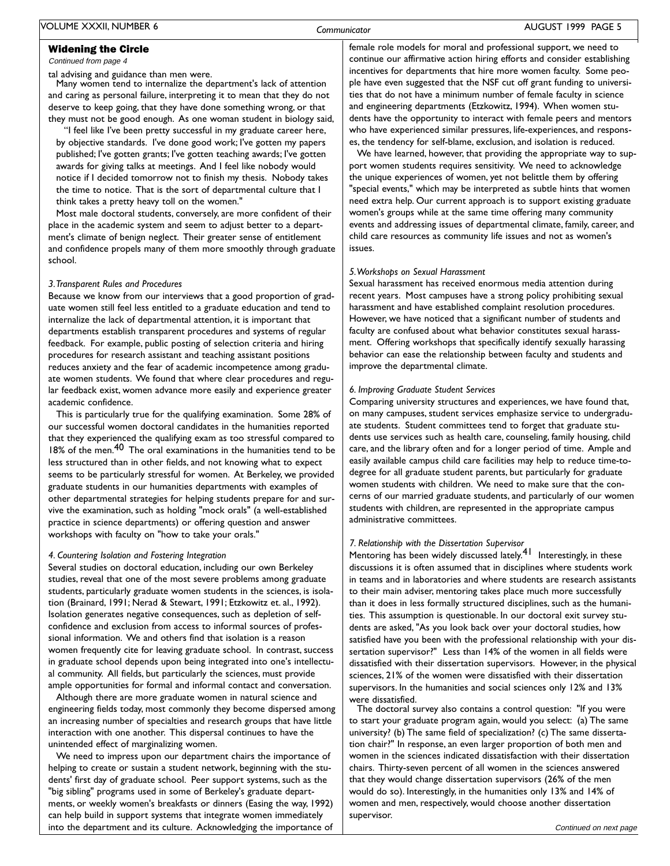Continued from page 4

tal advising and guidance than men were.

Many women tend to internalize the department's lack of attention and caring as personal failure, interpreting it to mean that they do not deserve to keep going, that they have done something wrong, or that they must not be good enough. As one woman student in biology said,

"I feel like I've been pretty successful in my graduate career here, by objective standards. I've done good work; I've gotten my papers published; I've gotten grants; I've gotten teaching awards; I've gotten awards for giving talks at meetings. And I feel like nobody would notice if I decided tomorrow not to finish my thesis. Nobody takes the time to notice. That is the sort of departmental culture that I think takes a pretty heavy toll on the women."

Most male doctoral students, conversely, are more confident of their place in the academic system and seem to adjust better to a department's climate of benign neglect. Their greater sense of entitlement and confidence propels many of them more smoothly through graduate school.

#### 3. Transparent Rules and Procedures

Because we know from our interviews that a good proportion of graduate women still feel less entitled to a graduate education and tend to internalize the lack of departmental attention, it is important that departments establish transparent procedures and systems of regular feedback. For example, public posting of selection criteria and hiring procedures for research assistant and teaching assistant positions reduces anxiety and the fear of academic incompetence among graduate women students. We found that where clear procedures and regular feedback exist, women advance more easily and experience greater academic confidence.

This is particularly true for the qualifying examination. Some 28% of our successful women doctoral candidates in the humanities reported that they experienced the qualifying exam as too stressful compared to 18% of the men.<sup>40</sup> The oral examinations in the humanities tend to be less structured than in other fields, and not knowing what to expect seems to be particularly stressful for women. At Berkeley, we provided graduate students in our humanities departments with examples of other departmental strategies for helping students prepare for and survive the examination, such as holding "mock orals" (a well-established practice in science departments) or offering question and answer workshops with faculty on "how to take your orals."

### 4. Countering Isolation and Fostering Integration

Several studies on doctoral education, including our own Berkeley studies, reveal that one of the most severe problems among graduate students, particularly graduate women students in the sciences, is isolation (Brainard, 1991; Nerad & Stewart, 1991; Etzkowitz et. al., 1992). Isolation generates negative consequences, such as depletion of selfconfidence and exclusion from access to informal sources of professional information. We and others find that isolation is a reason women frequently cite for leaving graduate school. In contrast, success in graduate school depends upon being integrated into one's intellectual community. All fields, but particularly the sciences, must provide ample opportunities for formal and informal contact and conversation.

Although there are more graduate women in natural science and engineering fields today, most commonly they become dispersed among an increasing number of specialties and research groups that have little interaction with one another. This dispersal continues to have the unintended effect of marginalizing women.

We need to impress upon our department chairs the importance of helping to create or sustain a student network, beginning with the students' first day of graduate school. Peer support systems, such as the "big sibling" programs used in some of Berkeley's graduate departments, or weekly women's breakfasts or dinners (Easing the way, 1992) can help build in support systems that integrate women immediately into the department and its culture. Acknowledging the importance of female role models for moral and professional support, we need to continue our affirmative action hiring efforts and consider establishing incentives for departments that hire more women faculty. Some people have even suggested that the NSF cut off grant funding to universities that do not have a minimum number of female faculty in science and engineering departments (Etzkowitz, 1994). When women students have the opportunity to interact with female peers and mentors who have experienced similar pressures, life-experiences, and responses, the tendency for self-blame, exclusion, and isolation is reduced.

We have learned, however, that providing the appropriate way to support women students requires sensitivity. We need to acknowledge the unique experiences of women, yet not belittle them by offering "special events," which may be interpreted as subtle hints that women need extra help. Our current approach is to support existing graduate women's groups while at the same time offering many community events and addressing issues of departmental climate, family, career, and child care resources as community life issues and not as women's issues.

### 5. Workshops on Sexual Harassment

Sexual harassment has received enormous media attention during recent years. Most campuses have a strong policy prohibiting sexual harassment and have established complaint resolution procedures. However, we have noticed that a significant number of students and faculty are confused about what behavior constitutes sexual harassment. Offering workshops that specifically identify sexually harassing behavior can ease the relationship between faculty and students and improve the departmental climate.

### 6. Improving Graduate Student Services

Comparing university structures and experiences, we have found that, on many campuses, student services emphasize service to undergraduate students. Student committees tend to forget that graduate students use services such as health care, counseling, family housing, child care, and the library often and for a longer period of time. Ample and easily available campus child care facilities may help to reduce time-todegree for all graduate student parents, but particularly for graduate women students with children. We need to make sure that the concerns of our married graduate students, and particularly of our women students with children, are represented in the appropriate campus administrative committees.

### 7. Relationship with the Dissertation Supervisor

Mentoring has been widely discussed lately.<sup>41</sup> Interestingly, in these discussions it is often assumed that in disciplines where students work in teams and in laboratories and where students are research assistants to their main adviser, mentoring takes place much more successfully than it does in less formally structured disciplines, such as the humanities. This assumption is questionable. In our doctoral exit survey students are asked, "As you look back over your doctoral studies, how satisfied have you been with the professional relationship with your dissertation supervisor?" Less than 14% of the women in all fields were dissatisfied with their dissertation supervisors. However, in the physical sciences, 21% of the women were dissatisfied with their dissertation supervisors. In the humanities and social sciences only 12% and 13% were dissatisfied.

The doctoral survey also contains a control question: "If you were to start your graduate program again, would you select: (a) The same university? (b) The same field of specialization? (c) The same dissertation chair?" In response, an even larger proportion of both men and women in the sciences indicated dissatisfaction with their dissertation chairs. Thirty-seven percent of all women in the sciences answered that they would change dissertation supervisors (26% of the men would do so). Interestingly, in the humanities only 13% and 14% of women and men, respectively, would choose another dissertation supervisor.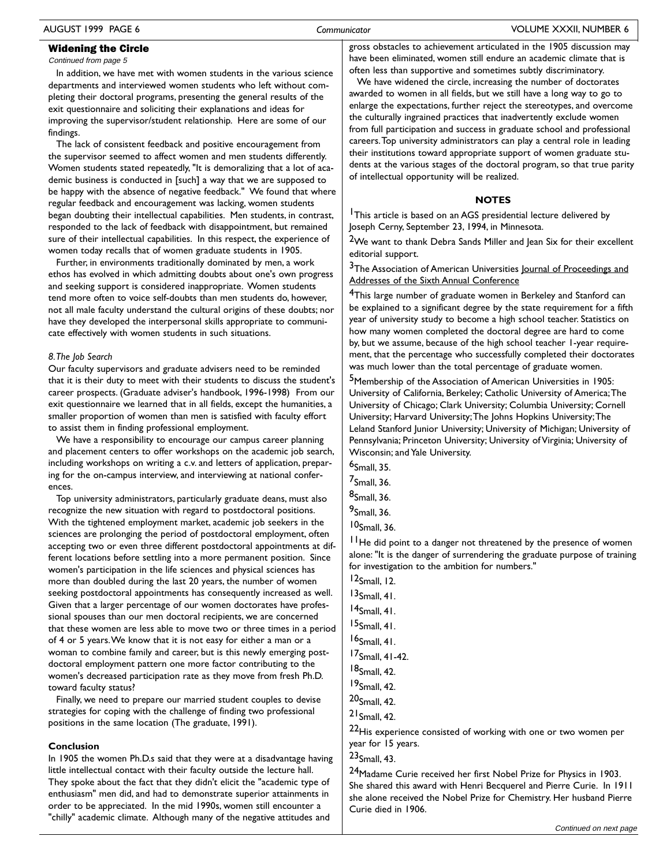Continued from page 5

In addition, we have met with women students in the various science departments and interviewed women students who left without completing their doctoral programs, presenting the general results of the exit questionnaire and soliciting their explanations and ideas for improving the supervisor/student relationship. Here are some of our findings.

The lack of consistent feedback and positive encouragement from the supervisor seemed to affect women and men students differently. Women students stated repeatedly, "It is demoralizing that a lot of academic business is conducted in [such] a way that we are supposed to be happy with the absence of negative feedback." We found that where regular feedback and encouragement was lacking, women students began doubting their intellectual capabilities. Men students, in contrast, responded to the lack of feedback with disappointment, but remained sure of their intellectual capabilities. In this respect, the experience of women today recalls that of women graduate students in 1905.

Further, in environments traditionally dominated by men, a work ethos has evolved in which admitting doubts about one's own progress and seeking support is considered inappropriate. Women students tend more often to voice self-doubts than men students do, however. not all male faculty understand the cultural origins of these doubts; nor have they developed the interpersonal skills appropriate to communicate effectively with women students in such situations.

### 8. The Job Search

Our faculty supervisors and graduate advisers need to be reminded that it is their duty to meet with their students to discuss the student's career prospects. (Graduate adviser's handbook, 1996-1998) From our exit questionnaire we learned that in all fields, except the humanities, a smaller proportion of women than men is satisfied with faculty effort to assist them in finding professional employment.

We have a responsibility to encourage our campus career planning and placement centers to offer workshops on the academic job search, including workshops on writing a c.v. and letters of application, preparing for the on-campus interview, and interviewing at national conferences.

Top university administrators, particularly graduate deans, must also recognize the new situation with regard to postdoctoral positions. With the tightened employment market, academic job seekers in the sciences are prolonging the period of postdoctoral employment, often accepting two or even three different postdoctoral appointments at different locations before settling into a more permanent position. Since women's participation in the life sciences and physical sciences has more than doubled during the last 20 years, the number of women seeking postdoctoral appointments has consequently increased as well. Given that a larger percentage of our women doctorates have professional spouses than our men doctoral recipients, we are concerned that these women are less able to move two or three times in a period of 4 or 5 years. We know that it is not easy for either a man or a woman to combine family and career, but is this newly emerging postdoctoral employment pattern one more factor contributing to the women's decreased participation rate as they move from fresh Ph.D. toward faculty status?

Finally, we need to prepare our married student couples to devise strategies for coping with the challenge of finding two professional positions in the same location (The graduate, 1991).

### Conclusion

In 1905 the women Ph.D.s said that they were at a disadvantage having little intellectual contact with their faculty outside the lecture hall. They spoke about the fact that they didn't elicit the "academic type of enthusiasm" men did, and had to demonstrate superior attainments in order to be appreciated. In the mid 1990s, women still encounter a "chilly" academic climate. Although many of the negative attitudes and

gross obstacles to achievement articulated in the 1905 discussion may have been eliminated, women still endure an academic climate that is often less than supportive and sometimes subtly discriminatory.

We have widened the circle, increasing the number of doctorates awarded to women in all fields, but we still have a long way to go to enlarge the expectations, further reject the stereotypes, and overcome the culturally ingrained practices that inadvertently exclude women from full participation and success in graduate school and professional careers. Top university administrators can play a central role in leading their institutions toward appropriate support of women graduate students at the various stages of the doctoral program, so that true parity of intellectual opportunity will be realized.

### **NOTES**

<sup>1</sup>This article is based on an AGS presidential lecture delivered by Joseph Cerny, September 23, 1994, in Minnesota.

<sup>2</sup>We want to thank Debra Sands Miller and Jean Six for their excellent editorial support.

### <sup>3</sup>The Association of American Universities Journal of Proceedings and Addresses of the Sixth Annual Conference

<sup>4</sup>This large number of graduate women in Berkeley and Stanford can be explained to a significant degree by the state requirement for a fifth year of university study to become a high school teacher. Statistics on how many women completed the doctoral degree are hard to come by, but we assume, because of the high school teacher 1-year requirement, that the percentage who successfully completed their doctorates was much lower than the total percentage of graduate women.

<sup>5</sup>Membership of the Association of American Universities in 1905: University of California, Berkeley; Catholic University of America; The University of Chicago; Clark University; Columbia University; Cornell University; Harvard University; The Johns Hopkins University; The Leland Stanford Junior University; University of Michigan; University of Pennsylvania; Princeton University; University of Virginia; University of Wisconsin; and Yale University.

- $6$ Small, 35.
- $7$ Small, 36.
- $8$ Small, 36.

 $10$ Small, 36.

<sup>11</sup>He did point to a danger not threatened by the presence of women alone: "It is the danger of surrendering the graduate purpose of training for investigation to the ambition for numbers."

 $12$ Small, 12.

- $13$ Small, 41.
- $14$ Small, 41.
- $15$ Small, 41.
- $16$ Small 41
- 17<sub>Small</sub>, 41-42.
- $18$ <sub>Small</sub> 42.
- $19$ Small, 42.
- $20$ <sub>Small</sub> 42.

 $21$  Small, 42.

22 His experience consisted of working with one or two women per year for 15 years.

 $23$ Small, 43.

<sup>24</sup>Madame Curie received her first Nobel Prize for Physics in 1903. She shared this award with Henri Becquerel and Pierre Curie. In 1911 she alone received the Nobel Prize for Chemistry. Her husband Pierre Curie died in 1906.

 $9$ Small, 36.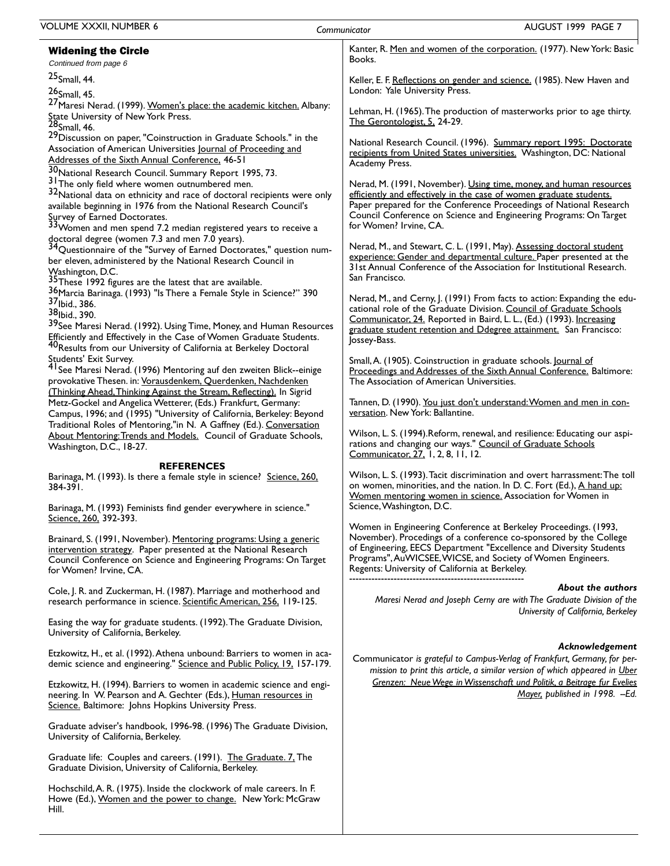| <b>VOLUME XXXII, NUMBER 6</b>                                                                                                            | Communicator | AUGUST 1999 PAGE 7                                                                                                                        |
|------------------------------------------------------------------------------------------------------------------------------------------|--------------|-------------------------------------------------------------------------------------------------------------------------------------------|
| <b>Widening the Circle</b><br>Continued from page 6                                                                                      |              | Kanter, R. Men and women of the corporation. (1977). New York: Basic<br>Books.                                                            |
| 25 <sub>Small</sub> , 44.                                                                                                                |              | Keller, E. F. Reflections on gender and science. (1985). New Haven and                                                                    |
| 26 <sub>Small</sub> , 45.                                                                                                                |              | London: Yale University Press.                                                                                                            |
| <sup>27</sup> Maresi Nerad. (1999). Women's place: the academic kitchen. Albany:<br>State University of New York Press.                  |              | Lehman, H. (1965). The production of masterworks prior to age thirty.<br>The Gerontologist, 5, 24-29.                                     |
| $28$ Small, 46.<br><sup>29</sup> Discussion on paper, "Coinstruction in Graduate Schools." in the                                        |              |                                                                                                                                           |
| Association of American Universities Journal of Proceeding and<br>Addresses of the Sixth Annual Conference, 46-51                        |              | National Research Council. (1996). Summary report 1995: Doctorate<br>recipients from United States universities. Washington, DC: National |
| 30 National Research Council. Summary Report 1995, 73.                                                                                   |              | Academy Press.                                                                                                                            |
| 3 <sup>1</sup> The only field where women outnumbered men.                                                                               |              | Nerad, M. (1991, November). Using time, money, and human resources                                                                        |
| 32National data on ethnicity and race of doctoral recipients were only                                                                   |              | efficiently and effectively in the case of women graduate students.                                                                       |
| available beginning in 1976 from the National Research Council's                                                                         |              | Paper prepared for the Conference Proceedings of National Research                                                                        |
| Survey of Earned Doctorates.                                                                                                             |              | Council Conference on Science and Engineering Programs: On Target                                                                         |
| $33$ Women and men spend 7.2 median registered years to receive a                                                                        |              | for Women? Irvine, CA.                                                                                                                    |
| doctoral degree (women 7.3 and men 7.0 years).<br><sup>34</sup> Questionnaire of the "Survey of Earned Doctorates," question num-        |              | Nerad, M., and Stewart, C. L. (1991, May). Assessing doctoral student                                                                     |
| ber eleven, administered by the National Research Council in                                                                             |              | experience: Gender and departmental culture. Paper presented at the                                                                       |
| Washington, D.C.                                                                                                                         |              | 31st Annual Conference of the Association for Institutional Research.                                                                     |
| <sup>35</sup> These 1992 figures are the latest that are available.                                                                      |              | San Francisco.                                                                                                                            |
| 36 Marcia Barinaga. (1993) "Is There a Female Style in Science?" 390                                                                     |              | Nerad, M., and Cerny, J. (1991) From facts to action: Expanding the edu-                                                                  |
| 37 <sub>Ibid.,</sub> 386.                                                                                                                |              | cational role of the Graduate Division. Council of Graduate Schools                                                                       |
| 38 <sub>Ibid., 390.</sub><br>39 See Maresi Nerad. (1992). Using Time, Money, and Human Resources                                         |              | Communicator, 24. Reported in Baird, L. L., (Ed.) (1993). Increasing                                                                      |
| Efficiently and Effectively in the Case of Women Graduate Students.                                                                      |              | graduate student retention and Ddegree attainment. San Francisco:                                                                         |
| <sup>40</sup> Results from our University of California at Berkeley Doctoral                                                             |              | Jossey-Bass.                                                                                                                              |
| Students' Exit Survey.                                                                                                                   |              | Small, A. (1905). Coinstruction in graduate schools. Journal of                                                                           |
| <sup>41</sup> See Maresi Nerad. (1996) Mentoring auf den zweiten Blick--einige                                                           |              | Proceedings and Addresses of the Sixth Annual Conference. Baltimore:                                                                      |
| provokative Thesen. in: Vorausdenkem, Querdenken, Nachdenken                                                                             |              | The Association of American Universities.                                                                                                 |
| (Thinking Ahead, Thinking Against the Stream, Reflecting). In Sigrid<br>Metz-Gockel and Angelica Wetterer, (Eds.) Frankfurt, Germany:    |              | Tannen, D. (1990). You just don't understand: Women and men in con-                                                                       |
| Campus, 1996; and (1995) "University of California, Berkeley: Beyond                                                                     |              | versation. New York: Ballantine.                                                                                                          |
| Traditional Roles of Mentoring,"in N. A Gaffney (Ed.). Conversation                                                                      |              |                                                                                                                                           |
| About Mentoring: Trends and Models. Council of Graduate Schools,                                                                         |              | Wilson, L. S. (1994). Reform, renewal, and resilience: Educating our aspi-                                                                |
| Washington, D.C., 18-27.                                                                                                                 |              | rations and changing our ways." Council of Graduate Schools<br>Communicator, 27, 1, 2, 8, 11, 12.                                         |
| <b>REFERENCES</b>                                                                                                                        |              |                                                                                                                                           |
| Barinaga, M. (1993). Is there a female style in science? Science, 260,                                                                   |              | Wilson, L. S. (1993). Tacit discrimination and overt harrassment: The toll                                                                |
| 384-391.                                                                                                                                 |              | on women, minorities, and the nation. In D. C. Fort (Ed.), A hand up:<br>Women mentoring women in science. Association for Women in       |
| Barinaga, M. (1993) Feminists find gender everywhere in science."                                                                        |              | Science, Washington, D.C.                                                                                                                 |
| Science, 260, 392-393.                                                                                                                   |              |                                                                                                                                           |
|                                                                                                                                          |              | Women in Engineering Conference at Berkeley Proceedings. (1993,                                                                           |
| Brainard, S. (1991, November). Mentoring programs: Using a generic                                                                       |              | November). Procedings of a conference co-sponsored by the College<br>of Engineering, EECS Department "Excellence and Diversity Students   |
| intervention strategy. Paper presented at the National Research<br>Council Conference on Science and Engineering Programs: On Target     |              | Programs", AuWICSEE, WICSE, and Society of Women Engineers.                                                                               |
| for Women? Irvine, CA.                                                                                                                   |              | Regents: University of California at Berkeley.                                                                                            |
|                                                                                                                                          |              | About the authors                                                                                                                         |
| Cole, J. R. and Zuckerman, H. (1987). Marriage and motherhood and<br>research performance in science. Scientific American, 256, 119-125. |              | Maresi Nerad and Joseph Cerny are with The Graduate Division of the                                                                       |
|                                                                                                                                          |              | University of California, Berkeley                                                                                                        |
| Easing the way for graduate students. (1992). The Graduate Division,                                                                     |              |                                                                                                                                           |
| University of California, Berkeley.                                                                                                      |              |                                                                                                                                           |
| Etzkowitz, H., et al. (1992). Athena unbound: Barriers to women in aca-                                                                  |              | Acknowledgement                                                                                                                           |
| demic science and engineering." Science and Public Policy, 19, 157-179.                                                                  |              | Communicator is grateful to Campus-Verlag of Frankfurt, Germany, for per-                                                                 |
|                                                                                                                                          |              | mission to print this article, a similar version of which appeared in Uber                                                                |
| Etzkowitz, H. (1994). Barriers to women in academic science and engi-                                                                    |              | Grenzen: Neue Wege in Wissenschaft und Politik, a Beitrage fur Evelies                                                                    |
| neering. In W. Pearson and A. Gechter (Eds.), Human resources in<br>Science. Baltimore: Johns Hopkins University Press.                  |              | Mayer, published in 1998. -Ed.                                                                                                            |
|                                                                                                                                          |              |                                                                                                                                           |
| Graduate adviser's handbook, 1996-98. (1996) The Graduate Division,                                                                      |              |                                                                                                                                           |
| University of California, Berkeley.                                                                                                      |              |                                                                                                                                           |
| Graduate life: Couples and careers. (1991). The Graduate. 7. The                                                                         |              |                                                                                                                                           |
| Graduate Division, University of California, Berkeley.                                                                                   |              |                                                                                                                                           |
|                                                                                                                                          |              |                                                                                                                                           |
| Hochschild, A. R. (1975). Inside the clockwork of male careers. In F.<br>Howe (Ed.), Women and the power to change. New York: McGraw     |              |                                                                                                                                           |

Hill.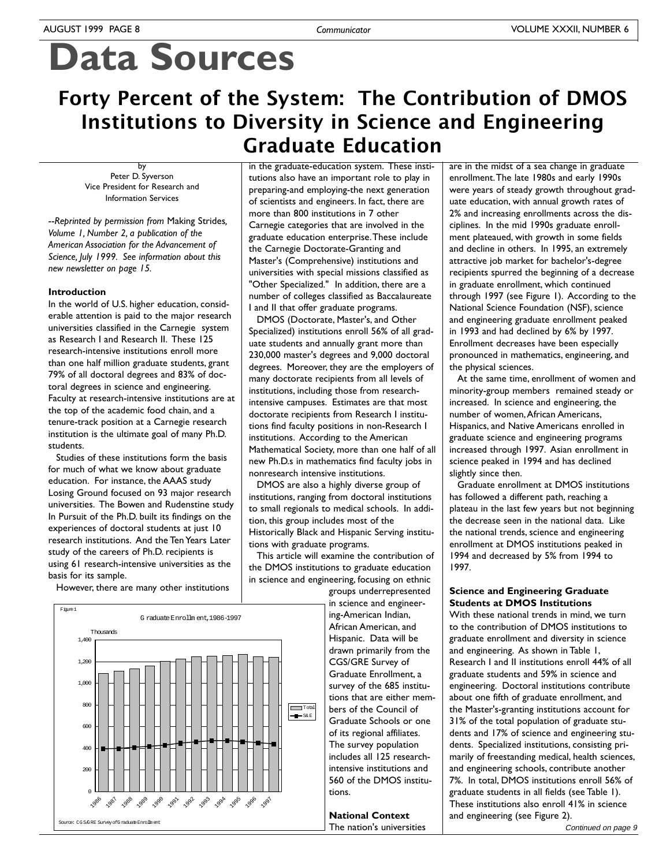# **Data Sources**

## Forty Percent of the System: The Contribution of DMOS **Institutions to Diversity in Science and Engineering Graduate Education**

by Peter D. Syverson Vice President for Research and **Information Services** 

--Reprinted by permission from Making Strides, Volume 1, Number 2, a publication of the American Association for the Advancement of Science, July 1999. See information about this new newsletter on page 15.

### **Introduction**

In the world of U.S. higher education, considerable attention is paid to the major research universities classified in the Carnegie system as Research I and Research II. These 125 research-intensive institutions enroll more than one half million graduate students, grant 79% of all doctoral degrees and 83% of doctoral degrees in science and engineering. Faculty at research-intensive institutions are at the top of the academic food chain, and a tenure-track position at a Carnegie research institution is the ultimate goal of many Ph.D. students.

Studies of these institutions form the basis for much of what we know about graduate education. For instance, the AAAS study Losing Ground focused on 93 major research universities. The Bowen and Rudenstine study In Pursuit of the Ph.D. built its findings on the experiences of doctoral students at just 10 research institutions. And the Ten Years Later study of the careers of Ph.D. recipients is using 61 research-intensive universities as the basis for its sample.

However, there are many other institutions



in the graduate-education system. These institutions also have an important role to play in preparing-and employing-the next generation of scientists and engineers. In fact, there are more than 800 institutions in 7 other Carnegie categories that are involved in the graduate education enterprise. These include the Carnegie Doctorate-Granting and Master's (Comprehensive) institutions and universities with special missions classified as "Other Specialized." In addition, there are a number of colleges classified as Baccalaureate I and II that offer graduate programs.

DMOS (Doctorate, Master's, and Other Specialized) institutions enroll 56% of all graduate students and annually grant more than 230,000 master's degrees and 9,000 doctoral degrees. Moreover, they are the employers of many doctorate recipients from all levels of institutions, including those from researchintensive campuses. Estimates are that most doctorate recipients from Research I institutions find faculty positions in non-Research I institutions. According to the American Mathematical Society, more than one half of all new Ph.D.s in mathematics find faculty jobs in nonresearch intensive institutions.

DMOS are also a highly diverse group of institutions, ranging from doctoral institutions to small regionals to medical schools. In addition, this group includes most of the Historically Black and Hispanic Serving institutions with graduate programs.

This article will examine the contribution of the DMOS institutions to graduate education in science and engineering, focusing on ethnic

groups underrepresented in science and engineering-American Indian, African American, and Hispanic. Data will be drawn primarily from the CGS/GRE Survey of Graduate Enrollment, a survey of the 685 institutions that are either members of the Council of Graduate Schools or one of its regional affiliates. The survey population includes all 125 researchintensive institutions and 560 of the DMOS institutions

**National Context** The nation's universities

are in the midst of a sea change in graduate enrollment. The late 1980s and early 1990s were years of steady growth throughout graduate education, with annual growth rates of 2% and increasing enrollments across the disciplines. In the mid 1990s graduate enrollment plateaued, with growth in some fields and decline in others. In 1995, an extremely attractive job market for bachelor's-degree recipients spurred the beginning of a decrease in graduate enrollment, which continued through 1997 (see Figure 1). According to the National Science Foundation (NSF), science and engineering graduate enrollment peaked in 1993 and had declined by 6% by 1997. Enrollment decreases have been especially pronounced in mathematics, engineering, and the physical sciences.

At the same time, enrollment of women and minority-group members remained steady or increased. In science and engineering, the number of women, African Americans, Hispanics, and Native Americans enrolled in graduate science and engineering programs increased through 1997. Asian enrollment in science peaked in 1994 and has declined slightly since then.

Graduate enrollment at DMOS institutions has followed a different path, reaching a plateau in the last few years but not beginning the decrease seen in the national data. Like the national trends, science and engineering enrollment at DMOS institutions peaked in 1994 and decreased by 5% from 1994 to 1997.

### **Science and Engineering Graduate Students at DMOS Institutions**

With these national trends in mind, we turn to the contribution of DMOS institutions to graduate enrollment and diversity in science and engineering. As shown in Table 1, Research I and II institutions enroll 44% of all graduate students and 59% in science and engineering. Doctoral institutions contribute about one fifth of graduate enrollment, and the Master's-granting institutions account for 31% of the total population of graduate students and 17% of science and engineering students. Specialized institutions, consisting primarily of freestanding medical, health sciences, and engineering schools, contribute another 7%. In total, DMOS institutions enroll 56% of graduate students in all fields (see Table 1). These institutions also enroll 41% in science and engineering (see Figure 2).

Continued on page 9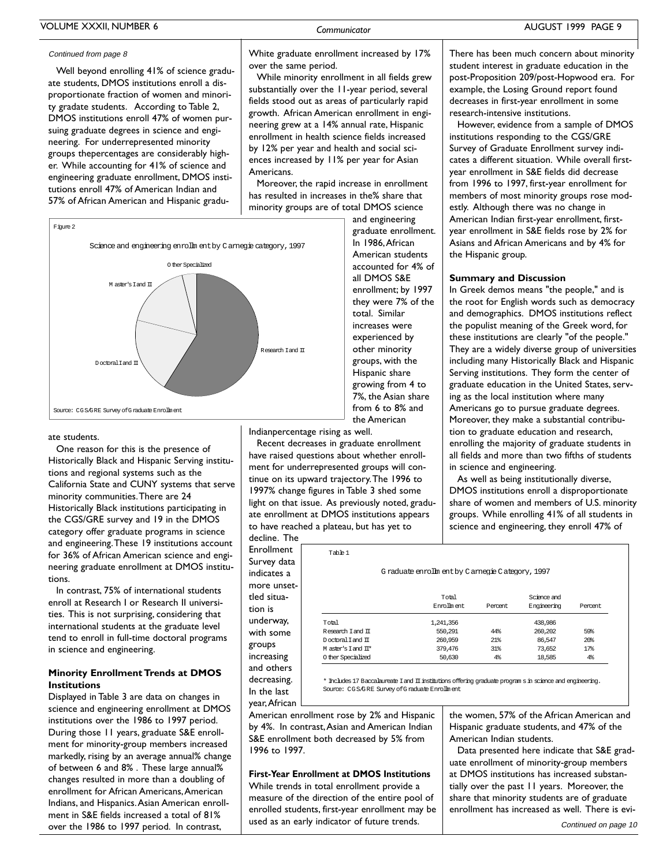### Continued from page 8

Well beyond enrolling 41% of science graduate students, DMOS institutions enroll a disproportionate fraction of women and minority gradate students. According to Table 2, DMOS institutions enroll 47% of women pursuing graduate degrees in science and engineering. For underrepresented minority groups thepercentages are considerably higher. While accounting for 41% of science and engineering graduate enrollment, DMOS institutions enroll 47% of American Indian and 57% of African American and Hispanic gradu-



Communicator

While minority enrollment in all fields grew substantially over the 11-year period, several fields stood out as areas of particularly rapid growth. African American enrollment in engineering grew at a 14% annual rate, Hispanic enrollment in health science fields increased by 12% per year and health and social sciences increased by 11% per year for Asian Americans.

Moreover, the rapid increase in enrollment has resulted in increases in the% share that minority groups are of total DMOS science



### ate students

One reason for this is the presence of Historically Black and Hispanic Serving institutions and regional systems such as the California State and CUNY systems that serve minority communities. There are 24 Historically Black institutions participating in the CGS/GRE survey and 19 in the DMOS category offer graduate programs in science and engineering. These 19 institutions account for 36% of African American science and engineering graduate enrollment at DMOS institutions

In contrast, 75% of international students enroll at Research I or Research II universities. This is not surprising, considering that international students at the graduate level tend to enroll in full-time doctoral programs in science and engineering.

### **Minority Enrollment Trends at DMOS Institutions**

Displayed in Table 3 are data on changes in science and engineering enrollment at DMOS institutions over the 1986 to 1997 period. During those 11 years, graduate S&E enrollment for minority-group members increased markedly, rising by an average annual% change of between 6 and 8%. These large annual% changes resulted in more than a doubling of enrollment for African Americans, American Indians, and Hispanics, Asian American enrollment in S&E fields increased a total of 81% over the 1986 to 1997 period. In contrast,

and engineering graduate enrollment. In 1986. African American students accounted for 4% of all DMOS S&E enrollment; by 1997 they were 7% of the total. Similar increases were experienced by other minority groups, with the Hispanic share growing from 4 to 7%, the Asian share from 6 to 8% and the American

Indianpercentage rising as well.

Recent decreases in graduate enrollment have raised questions about whether enrollment for underrepresented groups will continue on its upward trajectory. The 1996 to 1997% change figures in Table 3 shed some light on that issue. As previously noted, graduate enrollment at DMOS institutions appears to have reached a plateau, but has yet to

Table 1

decline. The Enrollment Survey data indicates a more unsettled situation is underway, with some groups increasing and others decreasing. In the last year, African

|                    | Total       |         |             | Science and     |  |
|--------------------|-------------|---------|-------------|-----------------|--|
|                    | Enrolm ent. | Percent | Engineering | Percent         |  |
| Total              | 1,241,356   |         | 438.986     |                 |  |
| Research Tand TT   | 550.291     | 44%     | 260,202     | 59%             |  |
| Doctoral Tand TT   | 260,959     | 21%     | 86.547      | 20 <sup>8</sup> |  |
| M aster's Tand TT* | 379,476     | 31%     | 73,652      | 17%             |  |
| 0 ther Specialized | 50,630      | $4\%$   | 18,585      | $4\%$           |  |

G raduate enrollm ent by C arnegie C ategory, 1997

\* Includes 17 Baccalaureate I and II institutions offering graduate program s in science and engineering. Source: CGS/GRE Survey of Graduate Enrollment

American enrollment rose by 2% and Hispanic by 4%. In contrast, Asian and American Indian S&E enrollment both decreased by 5% from 1996 to 1997.

### **First-Year Enrollment at DMOS Institutions** While trends in total enrollment provide a measure of the direction of the entire pool of enrolled students, first-year enrollment may be used as an early indicator of future trends.

There has been much concern about minority student interest in graduate education in the post-Proposition 209/post-Hopwood era. For example, the Losing Ground report found decreases in first-year enrollment in some research-intensive institutions.

However, evidence from a sample of DMOS institutions responding to the CGS/GRE Survey of Graduate Enrollment survey indicates a different situation. While overall firstyear enrollment in S&E fields did decrease from 1996 to 1997, first-year enrollment for members of most minority groups rose modestly. Although there was no change in American Indian first-year enrollment, firstyear enrollment in S&E fields rose by 2% for Asians and African Americans and by 4% for the Hispanic group.

### **Summary and Discussion**

In Greek demos means "the people," and is the root for English words such as democracy and demographics. DMOS institutions reflect the populist meaning of the Greek word, for these institutions are clearly "of the people." They are a widely diverse group of universities including many Historically Black and Hispanic Serving institutions. They form the center of graduate education in the United States, serving as the local institution where many Americans go to pursue graduate degrees. Moreover, they make a substantial contribution to graduate education and research, enrolling the majority of graduate students in all fields and more than two fifths of students in science and engineering.

As well as being institutionally diverse, DMOS institutions enroll a disproportionate share of women and members of U.S. minority groups. While enrolling 41% of all students in science and engineering, they enroll 47% of

the women, 57% of the African American and Hispanic graduate students, and 47% of the American Indian students.

Data presented here indicate that S&E graduate enrollment of minority-group members at DMOS institutions has increased substantially over the past 11 years. Moreover, the share that minority students are of graduate enrollment has increased as well. There is evi-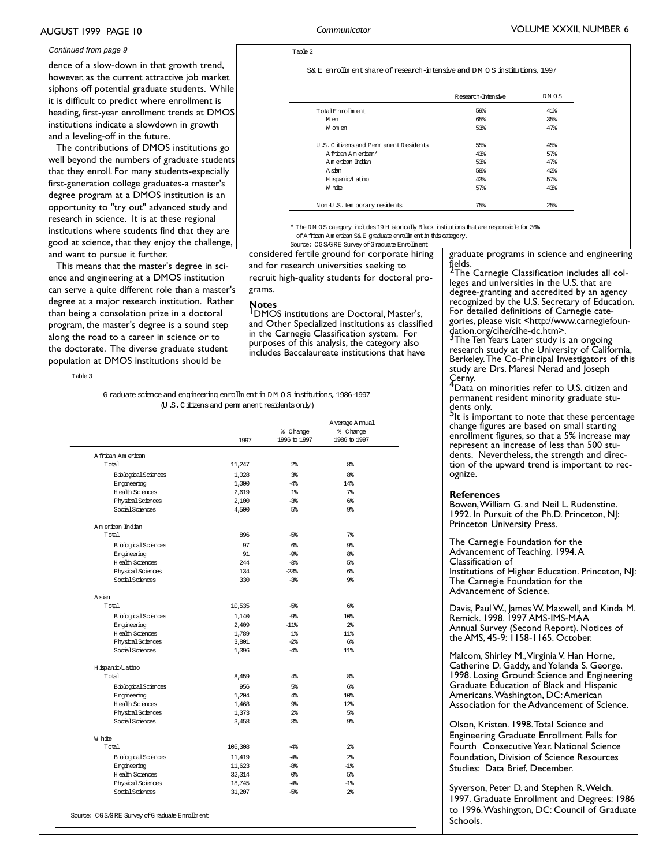### AUGUST 1999 PAGE 10

#### Continued from page 9

dence of a slow-down in that growth trend, however, as the current attractive job market siphons off potential graduate students. While it is difficult to predict where enrollment is heading, first-year enrollment trends at DMOS institutions indicate a slowdown in growth and a leveling-off in the future.

The contributions of DMOS institutions go well beyond the numbers of graduate students that they enroll. For many students-especially first-generation college graduates-a master's degree program at a DMOS institution is an opportunity to "try out" advanced study and research in science. It is at these regional institutions where students find that they are good at science, that they enjoy the challenge, and want to pursue it further.

This means that the master's degree in science and engineering at a DMOS institution can serve a quite different role than a master's degree at a major research institution. Rather than being a consolation prize in a doctoral program, the master's degree is a sound step along the road to a career in science or to the doctorate. The diverse graduate student population at DMOS institutions should be

Source: CGS/GRE Survey of Graduate Enrollment

Table 3

G raduate science and engineering enrollm ent in DM OS institutions, 1986-1997 (U.S.C. it izens and perm anent residents on ly)

|                            | 1997    | % Change<br>1996 to 1997 | A verage A mual<br>% Change<br>1986 to 1997 |
|----------------------------|---------|--------------------------|---------------------------------------------|
| A frican Am erican         |         |                          |                                             |
| Total                      | 11,247  | $2\%$                    | 8 <sup>8</sup>                              |
| <b>Biological Sciences</b> | 1,028   | $3\%$                    | 8 <sup>8</sup>                              |
| Engineering                | 1,000   | $-4%$                    | 14%                                         |
| <b>H</b> ealth Sciences    | 2.619   | $1\textdegree$           | $7\%$                                       |
| Physical Sciences          | 2,100   | $-3*$                    | $6\%$                                       |
| Social Sciences            | 4,500   | 5%                       | 9%                                          |
| Am erican Indian           |         |                          |                                             |
| Total                      | 896     | -5%                      | 7 <sup>8</sup>                              |
| <b>Biological Sciences</b> | 97      | $6\%$                    | 9%                                          |
| Engineering                | 91      | ஆ                        | 8 <sup>8</sup>                              |
| <b>H</b> ealth Sciences    | 244     | $-3\%$                   | $5\%$                                       |
| Physical Sciences          | 134     | $-23%$                   | $6\%$                                       |
| Social Sciences            | 330     | $-3\%$                   | 9%                                          |
| A sian                     |         |                          |                                             |
| Total                      | 10,535  | -5%                      | $6\%$                                       |
| <b>Biological Sciences</b> | 1,140   | ஆ                        | 10 <sup>8</sup>                             |
| Engineering                | 2,409   | $-118$                   | $2\%$                                       |
| <b>H</b> ealth Sciences    | 1,789   | $1\textdegree$           | 11%                                         |
| Physical Sciences          | 3,801   | $-2\%$                   | $6\%$                                       |
| Social Sciences            | 1,396   | $-4%$                    | 11%                                         |
| H ispanic/Latino           |         |                          |                                             |
| Total                      | 8,459   | $4\%$                    | 8%                                          |
| <b>Biological Sciences</b> | 956     | 5%                       | 6%                                          |
| Engineering                | 1.204   | $4\%$                    | 10 <sup>8</sup>                             |
| <b>H</b> ealth Sciences    | 1,468   | 9%                       | 12%                                         |
| Physical Sciences          | 1,373   | $2\%$                    | $5\%$                                       |
| Social Sciences            | 3,458   | 3%                       | 9%                                          |
| W hite                     |         |                          |                                             |
| Total                      | 105,308 | $-4\%$                   | $2\%$                                       |
| <b>Biological Sciences</b> | 11,419  | $-4\%$                   | $2\%$                                       |
| Engineering                | 11,623  | $-8\%$                   | $-1\%$                                      |
| <b>H</b> ealth Sciences    | 32,314  | $0\%$                    | $5\%$                                       |
| Physical Sciences          | 18,745  | $-4%$                    | $-1\%$                                      |
| Social Sciences            | 31,207  | $-5\%$                   | $2\frac{6}{5}$                              |

Communicator

Table 2

S& E, enrollm ent share of research-intensive and DM 0.8, institutions, 1997

|                                          | Research-Intensive | DM OS |
|------------------------------------------|--------------------|-------|
| Total Enrolm ent.                        | 59%                | 41%   |
| Men                                      | 65%                | 35%   |
| W om en                                  | 53%                | 47%   |
| U.S.C. it izens and Perm anent Residents | 55%                | 45%   |
| A frican American*                       | 43%                | 57%   |
| Am erican Todian                         | 53%                | 47%   |
| A sian                                   | 58%                | 42%   |
| H ispanic/Latino                         | 43%                | 57%   |
| W hite                                   | 57%                | 43%   |
| Non-U.S. tem porary residents            | 75%                | 25%   |

\* The DM OS category includes 19 H istorically B lack institutions that are responsible for 36% of A frican American S& E graduate enrollin ent in this category. Source: CGS/GRE Survey of Graduate Enrollment

considered fertile ground for corporate hiring and for research universities seeking to recruit high-quality students for doctoral programs.

Notes<br>
DMOS institutions are Doctoral, Master's, and Other Specialized institutions as classified in the Carnegie Classification system. For purposes of this analysis, the category also includes Baccalaureate institutions that have

graduate programs in science and engineering<br>fields.<br>The Carnegie Classification includes all col-

leges and universities in the U.S. that are degree-granting and accredited by an agency recognized by the U.S. Secretary of Education. For detailed definitions of Carnegie categories, please visit <http://www.carnegiefoun-

Berkeley. The Co-Principal Investigators of this study are Drs. Maresi Nerad and Joseph

Cerny.<br>4 Data on minorities refer to U.S. citizen and<br>1 Jack minority graduate stu-

dents only.<br>Plt is important to note that these percentage change figures are based on small starting enrollment figures, so that a 5% increase may represent an increase of less than 500 students. Nevertheless, the strength and direction of the upward trend is important to recognize.

#### **References**

Bowen, William G. and Neil L. Rudenstine. 1992. In Pursuit of the Ph.D. Princeton, NJ: Princeton University Press.

The Carnegie Foundation for the Advancement of Teaching. 1994.A Classification of Institutions of Higher Education. Princeton, NJ: The Carnegie Foundation for the Advancement of Science.

Davis, Paul W., James W. Maxwell, and Kinda M. Remick. 1998. 1997 AMS-IMS-MAA Annual Survey (Second Report). Notices of<br>the AMS, 45-9: 1158-1165. October.

Malcom, Shirley M., Virginia V. Han Horne, Catherine D. Gaddy, and Yolanda S. George. 1998. Losing Ground: Science and Engineering Graduate Education of Black and Hispanic Americans. Washington, DC: American Association for the Advancement of Science.

Olson, Kristen, 1998. Total Science and Engineering Graduate Enrollment Falls for Fourth Consecutive Year. National Science Foundation, Division of Science Resources Studies: Data Brief, December.

Syverson, Peter D. and Stephen R. Welch. 1997. Graduate Enrollment and Degrees: 1986 to 1996. Washington, DC: Council of Graduate Schools.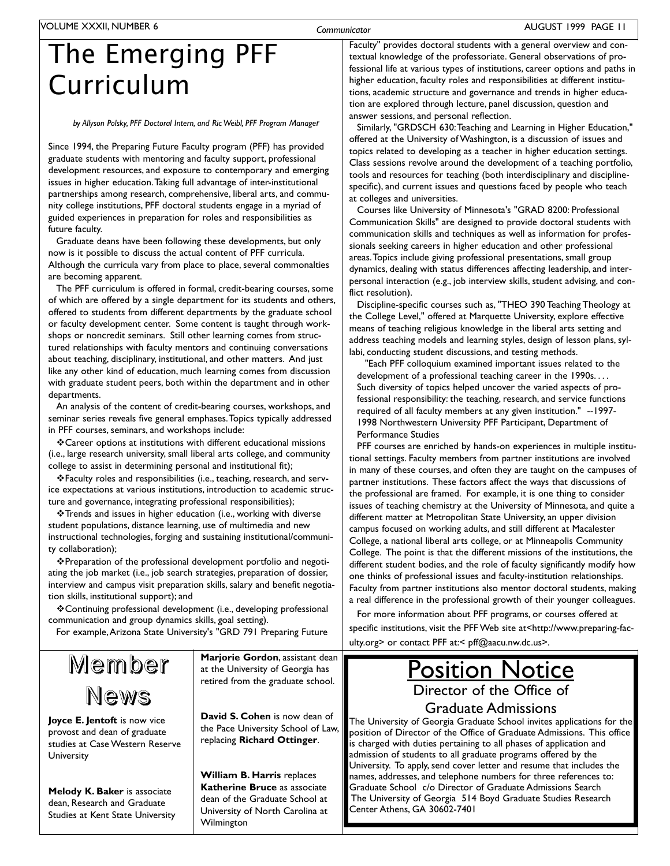Communicator

# The Emerging PFF Curriculum

### by Allyson Polsky, PFF Doctoral Intern, and Ric Weibl, PFF Program Manager

Since 1994, the Preparing Future Faculty program (PFF) has provided graduate students with mentoring and faculty support, professional development resources, and exposure to contemporary and emerging issues in higher education. Taking full advantage of inter-institutional partnerships among research, comprehensive, liberal arts, and community college institutions, PFF doctoral students engage in a myriad of guided experiences in preparation for roles and responsibilities as future faculty.

Graduate deans have been following these developments, but only now is it possible to discuss the actual content of PFF curricula. Although the curricula vary from place to place, several commonalties are becoming apparent.

The PFF curriculum is offered in formal, credit-bearing courses, some of which are offered by a single department for its students and others, offered to students from different departments by the graduate school or faculty development center. Some content is taught through workshops or noncredit seminars. Still other learning comes from structured relationships with faculty mentors and continuing conversations about teaching, disciplinary, institutional, and other matters. And just like any other kind of education, much learning comes from discussion with graduate student peers, both within the department and in other departments.

An analysis of the content of credit-bearing courses, workshops, and seminar series reveals five general emphases. Topics typically addressed in PFF courses, seminars, and workshops include:

\*Career options at institutions with different educational missions (i.e., large research university, small liberal arts college, and community college to assist in determining personal and institutional fit);

❖ Faculty roles and responsibilities (i.e., teaching, research, and service expectations at various institutions, introduction to academic structure and governance, integrating professional responsibilities);

❖ Trends and issues in higher education (i.e., working with diverse student populations, distance learning, use of multimedia and new instructional technologies, forging and sustaining institutional/community collaboration);

\*Preparation of the professional development portfolio and negotiating the job market (i.e., job search strategies, preparation of dossier, interview and campus visit preparation skills, salary and benefit negotiation skills, institutional support); and

❖ Continuing professional development (i.e., developing professional communication and group dynamics skills, goal setting).

For example, Arizona State University's "GRD 791 Preparing Future

Member News

Joyce E. Jentoft is now vice provost and dean of graduate studies at Case Western Reserve University

Melody K. Baker is associate dean, Research and Graduate Studies at Kent State University Marjorie Gordon, assistant dean at the University of Georgia has retired from the graduate school.

David S. Cohen is now dean of the Pace University School of Law, replacing Richard Ottinger.

William B. Harris replaces Katherine Bruce as associate dean of the Graduate School at University of North Carolina at Wilmington

Faculty" provides doctoral students with a general overview and contextual knowledge of the professoriate. General observations of professional life at various types of institutions, career options and paths in higher education, faculty roles and responsibilities at different institutions, academic structure and governance and trends in higher education are explored through lecture, panel discussion, question and answer sessions, and personal reflection.

Similarly, "GRDSCH 630: Teaching and Learning in Higher Education," offered at the University of Washington, is a discussion of issues and topics related to developing as a teacher in higher education settings. Class sessions revolve around the development of a teaching portfolio, tools and resources for teaching (both interdisciplinary and disciplinespecific), and current issues and questions faced by people who teach at colleges and universities.

Courses like University of Minnesota's "GRAD 8200: Professional Communication Skills" are designed to provide doctoral students with communication skills and techniques as well as information for professionals seeking careers in higher education and other professional areas. Topics include giving professional presentations, small group dynamics, dealing with status differences affecting leadership, and interpersonal interaction (e.g., job interview skills, student advising, and conflict resolution).

Discipline-specific courses such as, "THEO 390 Teaching Theology at the College Level," offered at Marquette University, explore effective means of teaching religious knowledge in the liberal arts setting and address teaching models and learning styles, design of lesson plans, syllabi, conducting student discussions, and testing methods.

"Each PFF colloquium examined important issues related to the development of a professional teaching career in the 1990s.... Such diversity of topics helped uncover the varied aspects of professional responsibility: the teaching, research, and service functions required of all faculty members at any given institution." --1997-1998 Northwestern University PFF Participant, Department of Performance Studies

PFF courses are enriched by hands-on experiences in multiple institutional settings. Faculty members from partner institutions are involved in many of these courses, and often they are taught on the campuses of partner institutions. These factors affect the ways that discussions of the professional are framed. For example, it is one thing to consider issues of teaching chemistry at the University of Minnesota, and quite a different matter at Metropolitan State University, an upper division campus focused on working adults, and still different at Macalester College, a national liberal arts college, or at Minneapolis Community College. The point is that the different missions of the institutions, the different student bodies, and the role of faculty significantly modify how one thinks of professional issues and faculty-institution relationships. Faculty from partner institutions also mentor doctoral students, making a real difference in the professional growth of their younger colleagues.

For more information about PFF programs, or courses offered at specific institutions, visit the PFF Web site at<http://www.preparing-faculty.org> or contact PFF at:< pff@aacu.nw.dc.us>.

### **Position Notice** Director of the Office of **Graduate Admissions**

The University of Georgia Graduate School invites applications for the position of Director of the Office of Graduate Admissions. This office is charged with duties pertaining to all phases of application and admission of students to all graduate programs offered by the University. To apply, send cover letter and resume that includes the names, addresses, and telephone numbers for three references to: Graduate School c/o Director of Graduate Admissions Search The University of Georgia 514 Boyd Graduate Studies Research Center Athens, GA 30602-7401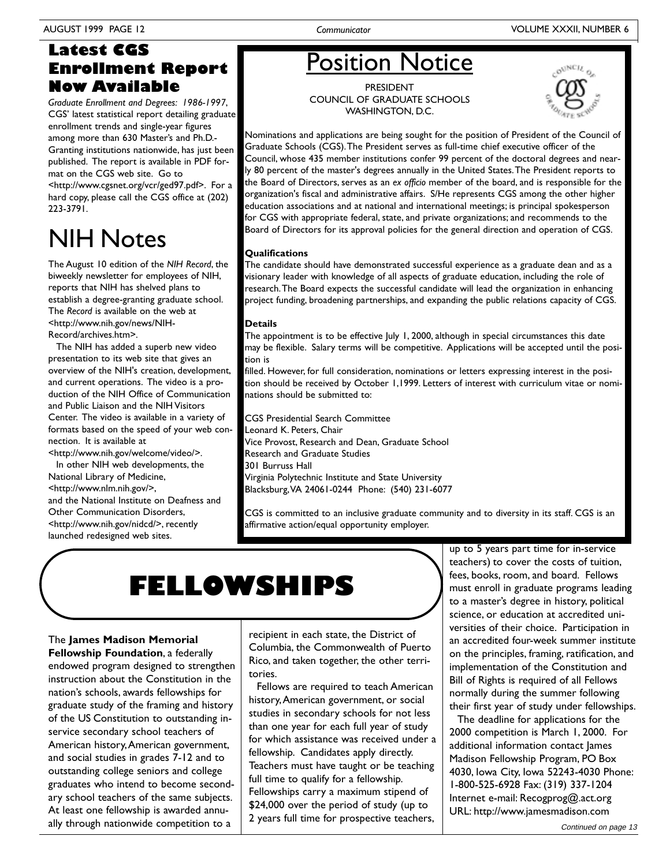### **Latest CGS Enrollment Report Now Available**

Graduate Enrollment and Degrees: 1986-1997, CGS' latest statistical report detailing graduate enrollment trends and single-year figures among more than 630 Master's and Ph.D.-Granting institutions nationwide, has just been published. The report is available in PDF format on the CGS web site. Go to <http://www.cgsnet.org/vcr/ged97.pdf>. For a hard copy, please call the CGS office at (202) 223-3791.

# **NIH Notes**

The August 10 edition of the NIH Record, the biweekly newsletter for employees of NIH, reports that NIH has shelved plans to establish a degree-granting graduate school. The Record is available on the web at <http://www.nih.gov/news/NIH-Record/archives.htm>.

The NIH has added a superb new video presentation to its web site that gives an overview of the NIH's creation, development, and current operations. The video is a production of the NIH Office of Communication and Public Liaison and the NIH Visitors Center. The video is available in a variety of formats based on the speed of your web connection. It is available at

<http://www.nih.gov/welcome/video/>. In other NIH web developments, the National Library of Medicine, <http://www.nlm.nih.gov/>, and the National Institute on Deafness and Other Communication Disorders. <http://www.nih.gov/nidcd/>, recently launched redesigned web sites.

# **Position Notice**

**PRESIDENT COUNCIL OF GRADUATE SCHOOLS** WASHINGTON, D.C.



Nominations and applications are being sought for the position of President of the Council of Graduate Schools (CGS). The President serves as full-time chief executive officer of the Council, whose 435 member institutions confer 99 percent of the doctoral degrees and nearly 80 percent of the master's degrees annually in the United States. The President reports to the Board of Directors, serves as an ex officio member of the board, and is responsible for the organization's fiscal and administrative affairs. S/He represents CGS among the other higher education associations and at national and international meetings; is principal spokesperson for CGS with appropriate federal, state, and private organizations; and recommends to the Board of Directors for its approval policies for the general direction and operation of CGS.

### Qualifications

The candidate should have demonstrated successful experience as a graduate dean and as a visionary leader with knowledge of all aspects of graduate education, including the role of research. The Board expects the successful candidate will lead the organization in enhancing project funding, broadening partnerships, and expanding the public relations capacity of CGS.

### **Details**

The appointment is to be effective July 1, 2000, although in special circumstances this date may be flexible. Salary terms will be competitive. Applications will be accepted until the position is

filled. However, for full consideration, nominations or letters expressing interest in the position should be received by October 1,1999. Letters of interest with curriculum vitae or nominations should be submitted to:

CGS Presidential Search Committee Leonard K. Peters, Chair Vice Provost, Research and Dean, Graduate School Research and Graduate Studies 301 Burruss Hall Virginia Polytechnic Institute and State University Blacksburg, VA 24061-0244 Phone: (540) 231-6077

CGS is committed to an inclusive graduate community and to diversity in its staff. CGS is an affirmative action/equal opportunity employer.

# **FELLOWSHIPS**

The James Madison Memorial Fellowship Foundation, a federally endowed program designed to strengthen instruction about the Constitution in the nation's schools, awards fellowships for graduate study of the framing and history of the US Constitution to outstanding inservice secondary school teachers of American history, American government, and social studies in grades 7-12 and to outstanding college seniors and college graduates who intend to become secondary school teachers of the same subjects. At least one fellowship is awarded annually through nationwide competition to a

recipient in each state, the District of Columbia, the Commonwealth of Puerto Rico, and taken together, the other territories.

Fellows are required to teach American history, American government, or social studies in secondary schools for not less than one year for each full year of study for which assistance was received under a fellowship. Candidates apply directly. Teachers must have taught or be teaching full time to qualify for a fellowship. Fellowships carry a maximum stipend of \$24,000 over the period of study (up to 2 years full time for prospective teachers,

up to 5 years part time for in-service teachers) to cover the costs of tuition, fees, books, room, and board. Fellows must enroll in graduate programs leading to a master's degree in history, political science, or education at accredited universities of their choice. Participation in an accredited four-week summer institute on the principles, framing, ratification, and implementation of the Constitution and Bill of Rights is required of all Fellows normally during the summer following their first year of study under fellowships.

The deadline for applications for the 2000 competition is March 1, 2000. For additional information contact James Madison Fellowship Program, PO Box 4030, Iowa City, Iowa 52243-4030 Phone: I-800-525-6928 Fax: (319) 337-1204 Internet e-mail: Recogprog@.act.org URL: http://www.jamesmadison.com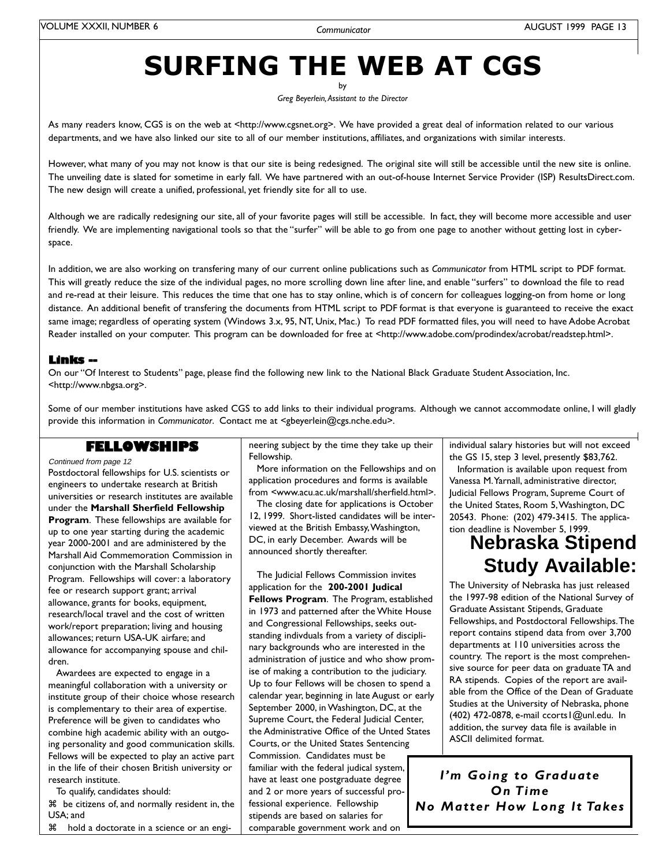# **SURFING THE WEB AT CGS**

Greg Beyerlein, Assistant to the Director

As many readers know, CGS is on the web at <http://www.cgsnet.org>. We have provided a great deal of information related to our various departments, and we have also linked our site to all of our member institutions, affiliates, and organizations with similar interests.

However, what many of you may not know is that our site is being redesigned. The original site will still be accessible until the new site is online. The unveiling date is slated for sometime in early fall. We have partnered with an out-of-house Internet Service Provider (ISP) ResultsDirect.com. The new design will create a unified, professional, yet friendly site for all to use.

Although we are radically redesigning our site, all of your favorite pages will still be accessible. In fact, they will become more accessible and user friendly. We are implementing navigational tools so that the "surfer" will be able to go from one page to another without getting lost in cyberspace.

In addition, we are also working on transfering many of our current online publications such as Communicator from HTML script to PDF format. This will greatly reduce the size of the individual pages, no more scrolling down line after line, and enable "surfers" to download the file to read and re-read at their leisure. This reduces the time that one has to stay online, which is of concern for colleagues logging-on from home or long distance. An additional benefit of transfering the documents from HTML script to PDF format is that everyone is guaranteed to receive the exact same image; regardless of operating system (Windows 3.x, 95, NT, Unix, Mac.) To read PDF formatted files, you will need to have Adobe Acrobat Reader installed on your computer. This program can be downloaded for free at <http://www.adobe.com/prodindex/acrobat/readstep.html>.

### **Links --**

On our "Of Interest to Students" page, please find the following new link to the National Black Graduate Student Association, Inc. <http://www.nbgsa.org>.

Some of our member institutions have asked CGS to add links to their individual programs. Although we cannot accommodate online, I will gladly provide this information in Communicator. Contact me at <gbeyerlein@cgs.nche.edu>.

### **FELLOWSHIPS**

Continued from page 12

Postdoctoral fellowships for U.S. scientists or engineers to undertake research at British universities or research institutes are available under the Marshall Sherfield Fellowship Program. These fellowships are available for up to one year starting during the academic year 2000-2001 and are administered by the Marshall Aid Commemoration Commission in conjunction with the Marshall Scholarship Program. Fellowships will cover: a laboratory fee or research support grant; arrival allowance, grants for books, equipment, research/local travel and the cost of written work/report preparation; living and housing allowances; return USA-UK airfare; and allowance for accompanying spouse and children.

Awardees are expected to engage in a meaningful collaboration with a university or institute group of their choice whose research is complementary to their area of expertise. Preference will be given to candidates who combine high academic ability with an outgoing personality and good communication skills. Fellows will be expected to play an active part in the life of their chosen British university or research institute.

To qualify, candidates should:

36 be citizens of, and normally resident in, the USA: and

36 hold a doctorate in a science or an engi-

neering subject by the time they take up their Fellowship.

More information on the Fellowships and on application procedures and forms is available from <www.acu.ac.uk/marshall/sherfield.html>.

The closing date for applications is October 12, 1999. Short-listed candidates will be interviewed at the British Embassy, Washington, DC, in early December. Awards will be announced shortly thereafter.

The Judicial Fellows Commission invites application for the 200-2001 Judical Fellows Program. The Program, established in 1973 and patterned after the White House and Congressional Fellowships, seeks outstanding indivduals from a variety of disciplinary backgrounds who are interested in the administration of justice and who show promise of making a contribution to the judiciary. Up to four Fellows will be chosen to spend a calendar year, beginning in late August or early September 2000, in Washington, DC, at the Supreme Court, the Federal Judicial Center, the Administrative Office of the Unted States Courts, or the United States Sentencing Commission. Candidates must be familiar with the federal judical system, have at least one postgraduate degree and 2 or more years of successful professional experience. Fellowship stipends are based on salaries for comparable government work and on

individual salary histories but will not exceed the GS 15, step 3 level, presently \$83,762.

Information is available upon request from Vanessa M. Yarnall, administrative director, Judicial Fellows Program, Supreme Court of the United States, Room 5, Washington, DC 20543. Phone: (202) 479-3415. The application deadline is November 5, 1999.

### **Nebraska Stipend Study Available:**

The University of Nebraska has just released the 1997-98 edition of the National Survey of Graduate Assistant Stipends, Graduate Fellowships, and Postdoctoral Fellowships. The report contains stipend data from over 3,700 departments at 110 universities across the country. The report is the most comprehensive source for peer data on graduate TA and RA stipends. Copies of the report are available from the Office of the Dean of Graduate Studies at the University of Nebraska, phone (402) 472-0878, e-mail ccorts | @unl.edu. In addition, the survey data file is available in **ASCII** delimited format.

I'm Going to Graduate On Time No Matter How Long It Takes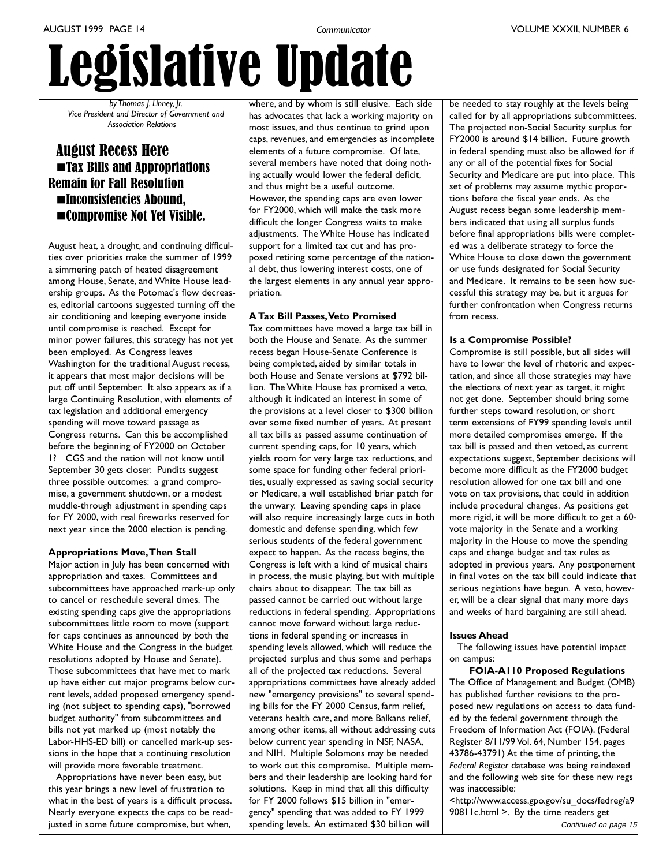# Legislative Update

by Thomas J. Linney, Jr. Vice President and Director of Government and **Association Relations** 

### **August Recess Here Tax Bills and Appropriations Remain for Fall Resolution Inconsistencies Abound.** ■Compromise Not Yet Visible.

August heat, a drought, and continuing difficulties over priorities make the summer of 1999 a simmering patch of heated disagreement among House, Senate, and White House leadership groups. As the Potomac's flow decreases, editorial cartoons suggested turning off the air conditioning and keeping everyone inside until compromise is reached. Except for minor power failures, this strategy has not yet been employed. As Congress leaves Washington for the traditional August recess, it appears that most major decisions will be put off until September. It also appears as if a large Continuing Resolution, with elements of tax legislation and additional emergency spending will move toward passage as Congress returns. Can this be accomplished before the beginning of FY2000 on October 1? CGS and the nation will not know until September 30 gets closer. Pundits suggest three possible outcomes: a grand compromise, a government shutdown, or a modest muddle-through adjustment in spending caps for FY 2000, with real fireworks reserved for next year since the 2000 election is pending.

### **Appropriations Move, Then Stall**

Major action in July has been concerned with appropriation and taxes. Committees and subcommittees have approached mark-up only to cancel or reschedule several times. The existing spending caps give the appropriations subcommittees little room to move (support for caps continues as announced by both the White House and the Congress in the budget resolutions adopted by House and Senate). Those subcommittees that have met to mark up have either cut major programs below current levels, added proposed emergency spending (not subject to spending caps), "borrowed budget authority" from subcommittees and bills not yet marked up (most notably the Labor-HHS-ED bill) or cancelled mark-up sessions in the hope that a continuing resolution will provide more favorable treatment.

Appropriations have never been easy, but this year brings a new level of frustration to what in the best of years is a difficult process. Nearly everyone expects the caps to be readjusted in some future compromise, but when,

where, and by whom is still elusive. Each side has advocates that lack a working majority on most issues, and thus continue to grind upon caps, revenues, and emergencies as incomplete elements of a future compromise. Of late, several members have noted that doing nothing actually would lower the federal deficit, and thus might be a useful outcome. However, the spending caps are even lower for FY2000, which will make the task more difficult the longer Congress waits to make adjustments. The White House has indicated support for a limited tax cut and has proposed retiring some percentage of the national debt, thus lowering interest costs, one of the largest elements in any annual year appropriation.

### A Tax Bill Passes, Veto Promised

Tax committees have moved a large tax bill in both the House and Senate. As the summer recess began House-Senate Conference is being completed, aided by similar totals in both House and Senate versions at \$792 billion. The White House has promised a veto, although it indicated an interest in some of the provisions at a level closer to \$300 billion over some fixed number of years. At present all tax bills as passed assume continuation of current spending caps, for 10 years, which yields room for very large tax reductions, and some space for funding other federal priorities, usually expressed as saving social security or Medicare, a well established briar patch for the unwary. Leaving spending caps in place will also require increasingly large cuts in both domestic and defense spending, which few serious students of the federal government expect to happen. As the recess begins, the Congress is left with a kind of musical chairs in process, the music playing, but with multiple chairs about to disappear. The tax bill as passed cannot be carried out without large reductions in federal spending. Appropriations cannot move forward without large reductions in federal spending or increases in spending levels allowed, which will reduce the projected surplus and thus some and perhaps all of the projected tax reductions. Several appropriations committees have already added new "emergency provisions" to several spending bills for the FY 2000 Census, farm relief, veterans health care, and more Balkans relief, among other items, all without addressing cuts below current year spending in NSF, NASA, and NIH. Multiple Solomons may be needed to work out this compromise. Multiple members and their leadership are looking hard for solutions. Keep in mind that all this difficulty for FY 2000 follows \$15 billion in "emergency" spending that was added to FY 1999 spending levels. An estimated \$30 billion will

be needed to stay roughly at the levels being called for by all appropriations subcommittees. The projected non-Social Security surplus for FY2000 is around \$14 billion. Future growth in federal spending must also be allowed for if any or all of the potential fixes for Social Security and Medicare are put into place. This set of problems may assume mythic proportions before the fiscal year ends. As the August recess began some leadership members indicated that using all surplus funds before final appropriations bills were completed was a deliberate strategy to force the White House to close down the government or use funds designated for Social Security and Medicare. It remains to be seen how successful this strategy may be, but it argues for further confrontation when Congress returns from recess.

### Is a Compromise Possible?

Compromise is still possible, but all sides will have to lower the level of rhetoric and expectation, and since all those strategies may have the elections of next year as target, it might not get done. September should bring some further steps toward resolution, or short term extensions of FY99 spending levels until more detailed compromises emerge. If the tax bill is passed and then vetoed, as current expectations suggest, September decisions will become more difficult as the FY2000 budget resolution allowed for one tax bill and one vote on tax provisions, that could in addition include procedural changes. As positions get more rigid, it will be more difficult to get a 60vote majority in the Senate and a working majority in the House to move the spending caps and change budget and tax rules as adopted in previous years. Any postponement in final votes on the tax bill could indicate that serious negiations have begun. A veto, however, will be a clear signal that many more days and weeks of hard bargaining are still ahead.

### **Issues Ahead**

The following issues have potential impact on campus:

**FOIA-AII0 Proposed Regulations** The Office of Management and Budget (OMB) has published further revisions to the proposed new regulations on access to data funded by the federal government through the Freedom of Information Act (FOIA). (Federal Register 8/11/99 Vol. 64, Number 154, pages 43786-43791) At the time of printing, the Federal Register database was being reindexed and the following web site for these new regs was inaccessible:

<http://www.access.gpo.gov/su\_docs/fedreg/a9 90811c.html >. By the time readers get Continued on page 15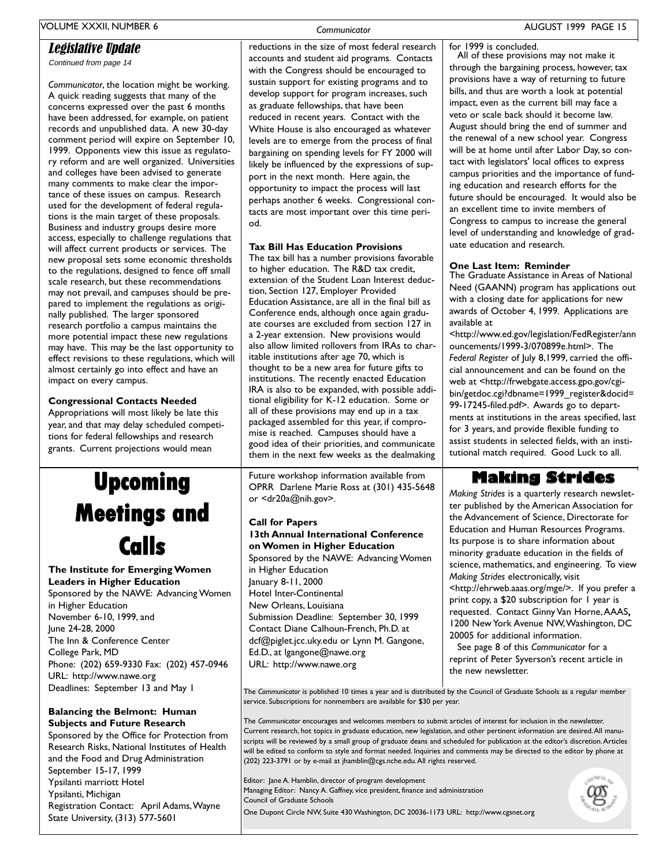### Legislative Update

Continued from page 14

Communicator, the location might be working. A quick reading suggests that many of the concerns expressed over the past 6 months have been addressed, for example, on patient records and unpublished data. A new 30-day comment period will expire on September 10, 1999. Opponents view this issue as regulatory reform and are well organized. Universities and colleges have been advised to generate many comments to make clear the importance of these issues on campus. Research used for the development of federal regulations is the main target of these proposals. Business and industry groups desire more access, especially to challenge regulations that will affect current products or services. The new proposal sets some economic thresholds to the regulations, designed to fence off small scale research, but these recommendations may not prevail, and campuses should be prepared to implement the regulations as originally published. The larger sponsored research portfolio a campus maintains the more potential impact these new regulations may have. This may be the last opportunity to effect revisions to these regulations, which will almost certainly go into effect and have an impact on every campus.

### **Congressional Contacts Needed**

Appropriations will most likely be late this year, and that may delay scheduled competitions for federal fellowships and research grants. Current projections would mean

# **Upcoming Meetings and Calls**

### The Institute for Emerging Women **Leaders in Higher Education**

Sponsored by the NAWE: Advancing Women in Higher Education November 6-10, 1999, and June 24-28, 2000 The Inn & Conference Center College Park, MD Phone: (202) 659-9330 Fax: (202) 457-0946 URL: http://www.nawe.org Deadlines: September 13 and May 1

### **Balancing the Belmont: Human Subjects and Future Research**

Sponsored by the Office for Protection from Research Risks, National Institutes of Health and the Food and Drug Administration September 15-17, 1999 Ypsilanti marriott Hotel Ypsilanti, Michigan Registration Contact: April Adams, Wayne State University, (313) 577-5601

Communicator reductions in the size of most federal research

accounts and student aid programs. Contacts

with the Congress should be encouraged to

sustain support for existing programs and to

develop support for program increases, such

reduced in recent years. Contact with the

White House is also encouraged as whatever

levels are to emerge from the process of final

bargaining on spending levels for FY 2000 will

likely be influenced by the expressions of sup-

perhaps another 6 weeks. Congressional con-

tacts are most important over this time peri-

The tax bill has a number provisions favorable

extension of the Student Loan Interest deduc-

Education Assistance, are all in the final bill as

Conference ends, although once again gradu-

ate courses are excluded from section 127 in

also allow limited rollovers from IRAs to char-

a 2-year extension. New provisions would

thought to be a new area for future gifts to

institutions. The recently enacted Education

IRA is also to be expanded, with possible addi-

tional eligibility for K-12 education. Some or

packaged assembled for this year, if compro-

good idea of their priorities, and communicate

them in the next few weeks as the dealmaking

OPRR Darlene Marie Ross at (301) 435-5648

Future workshop information available from

13th Annual International Conference

Sponsored by the NAWE: Advancing Women

Submission Deadline: September 30, 1999

dcf@piglet.jcc.uky.edu or Lynn M. Gangone,

Contact Diane Calhoun-French, Ph.D. at

on Women in Higher Education

or <dr20a@nih.gov>.

**Call for Papers** 

in Higher Education

Hotel Inter-Continental

New Orleans, Louisiana

Ed.D., at Igangone@nawe.org

URL: http://www.nawe.org

January 8-11, 2000

all of these provisions may end up in a tax

mise is reached. Campuses should have a

itable institutions after age 70, which is

to higher education. The R&D tax credit,

port in the next month. Here again, the

**Tax Bill Has Education Provisions** 

tion, Section 127, Employer Provided

od.

opportunity to impact the process will last

as graduate fellowships, that have been

for 1999 is concluded.

All of these provisions may not make it through the bargaining process, however, tax provisions have a way of returning to future bills, and thus are worth a look at potential impact, even as the current bill may face a veto or scale back should it become law. August should bring the end of summer and the renewal of a new school year. Congress will be at home until after Labor Day, so contact with legislators' local offices to express campus priorities and the importance of funding education and research efforts for the future should be encouraged. It would also be an excellent time to invite members of Congress to campus to increase the general level of understanding and knowledge of graduate education and research.

**One Last Item: Reminder**<br>The Graduate Assistance in Areas of National Need (GAANN) program has applications out with a closing date for applications for new awards of October 4, 1999. Applications are available at

<http://www.ed.gov/legislation/FedRegister/ann ouncements/1999-3/070899e.html>. The Federal Register of July 8,1999, carried the official announcement and can be found on the web at <http://frwebgate.access.gpo.gov/cgibin/getdoc.cgi?dbname=1999\_register&docid= 99-17245-filed.pdf>. Awards go to departments at institutions in the areas specified, last for 3 years, and provide flexible funding to assist students in selected fields, with an institutional match required. Good Luck to all.

### **Making Strides**

Making Strides is a quarterly research newsletter published by the American Association for the Advancement of Science, Directorate for Education and Human Resources Programs. Its purpose is to share information about minority graduate education in the fields of science, mathematics, and engineering. To view Making Strides electronically, visit <http://ehrweb.aaas.org/mge/>. If you prefer a print copy, a \$20 subscription for 1 year is requested. Contact Ginny Van Horne, AAAS, 1200 New York Avenue NW, Washington, DC 20005 for additional information.

See page 8 of this Communicator for a reprint of Peter Syverson's recent article in the new newsletter.

The Communicator is published 10 times a year and is distributed by the Council of Graduate Schools as a regular member service. Subscriptions for nonmembers are available for \$30 per year.

The Communicator encourages and welcomes members to submit articles of interest for inclusion in the newsletter. Current research, hot topics in graduate education, new legislation, and other pertinent information are desired. All manuscripts will be reviewed by a small group of graduate deans and scheduled for publication at the editor's discretion. Articles will be edited to conform to style and format needed. Inquiries and comments may be directed to the editor by phone at (202) 223-3791 or by e-mail at jhamblin@cgs.nche.edu.All rights reserved.

Editor: Jane A. Hamblin, director of program development Managing Editor: Nancy A. Gaffney, vice president, finance and administration Council of Graduate Schools One Dupont Circle NW, Suite 430 Washington, DC 20036-1173 URL: http://www.cgsnet.org